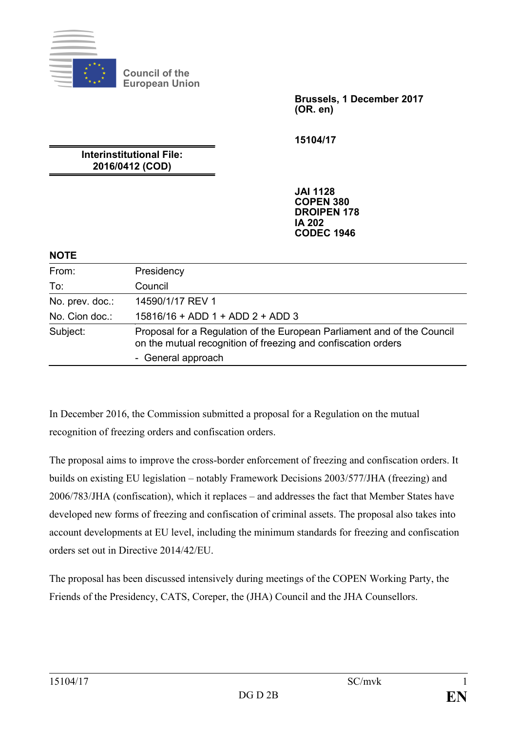

**Council of the European Union**

> **Brussels, 1 December 2017 (OR. en)**

**15104/17**

**Interinstitutional File: 2016/0412 (COD)**

> **JAI 1128 COPEN 380 DROIPEN 178 IA 202 CODEC 1946**

#### **NOTE**

| From:           | Presidency                                                                                                                               |
|-----------------|------------------------------------------------------------------------------------------------------------------------------------------|
| To:             | Council                                                                                                                                  |
| No. prev. doc.: | 14590/1/17 REV 1                                                                                                                         |
| No. Cion doc.:  | $15816/16 + ADD 1 + ADD 2 + ADD 3$                                                                                                       |
| Subject:        | Proposal for a Regulation of the European Parliament and of the Council<br>on the mutual recognition of freezing and confiscation orders |
|                 | - General approach                                                                                                                       |

In December 2016, the Commission submitted a proposal for a Regulation on the mutual recognition of freezing orders and confiscation orders.

The proposal aims to improve the cross-border enforcement of freezing and confiscation orders. It builds on existing EU legislation – notably Framework Decisions 2003/577/JHA (freezing) and 2006/783/JHA (confiscation), which it replaces – and addresses the fact that Member States have developed new forms of freezing and confiscation of criminal assets. The proposal also takes into account developments at EU level, including the minimum standards for freezing and confiscation orders set out in Directive 2014/42/EU.

The proposal has been discussed intensively during meetings of the COPEN Working Party, the Friends of the Presidency, CATS, Coreper, the (JHA) Council and the JHA Counsellors.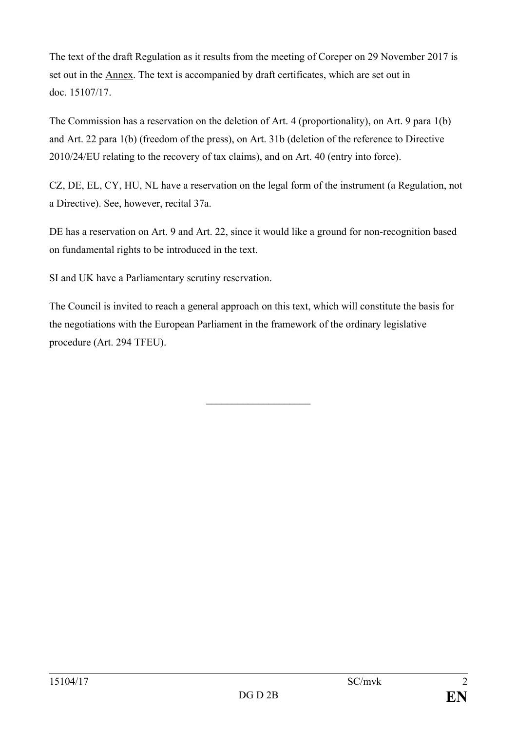The text of the draft Regulation as it results from the meeting of Coreper on 29 November 2017 is set out in the Annex. The text is accompanied by draft certificates, which are set out in doc. 15107/17.

The Commission has a reservation on the deletion of Art. 4 (proportionality), on Art. 9 para 1(b) and Art. 22 para 1(b) (freedom of the press), on Art. 31b (deletion of the reference to Directive 2010/24/EU relating to the recovery of tax claims), and on Art. 40 (entry into force).

CZ, DE, EL, CY, HU, NL have a reservation on the legal form of the instrument (a Regulation, not a Directive). See, however, recital 37a.

DE has a reservation on Art. 9 and Art. 22, since it would like a ground for non-recognition based on fundamental rights to be introduced in the text.

SI and UK have a Parliamentary scrutiny reservation.

The Council is invited to reach a general approach on this text, which will constitute the basis for the negotiations with the European Parliament in the framework of the ordinary legislative procedure (Art. 294 TFEU).

 $\overline{\phantom{a}}$  , and the set of the set of the set of the set of the set of the set of the set of the set of the set of the set of the set of the set of the set of the set of the set of the set of the set of the set of the s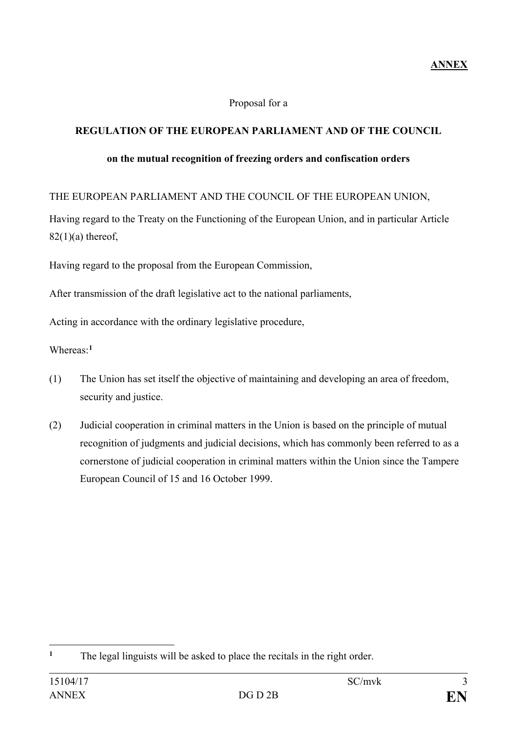### Proposal for a

## **REGULATION OF THE EUROPEAN PARLIAMENT AND OF THE COUNCIL**

#### **on the mutual recognition of freezing orders and confiscation orders**

THE EUROPEAN PARLIAMENT AND THE COUNCIL OF THE EUROPEAN UNION,

Having regard to the Treaty on the Functioning of the European Union, and in particular Article  $82(1)(a)$  thereof,

Having regard to the proposal from the European Commission,

After transmission of the draft legislative act to the national parliaments,

Acting in accordance with the ordinary legislative procedure,

Whereas:**[1](#page-2-0)**

- (1) The Union has set itself the objective of maintaining and developing an area of freedom, security and justice.
- (2) Judicial cooperation in criminal matters in the Union is based on the principle of mutual recognition of judgments and judicial decisions, which has commonly been referred to as a cornerstone of judicial cooperation in criminal matters within the Union since the Tampere European Council of 15 and 16 October 1999.

<span id="page-2-0"></span> $\mathbf{1}$ **<sup>1</sup>** The legal linguists will be asked to place the recitals in the right order.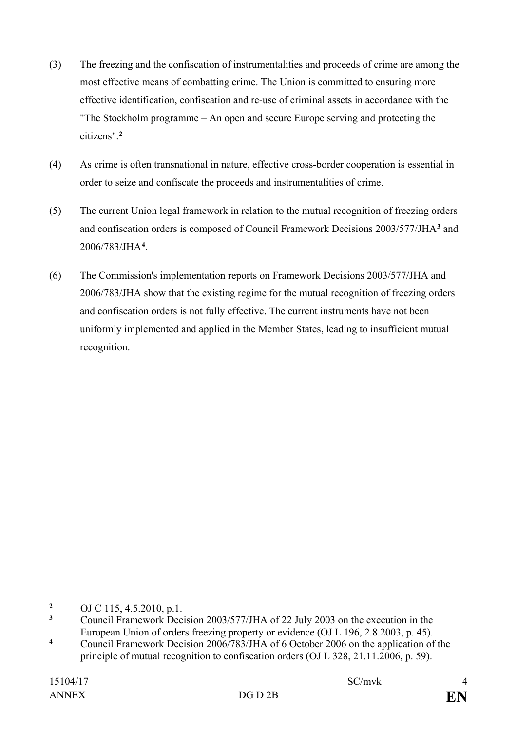- (3) The freezing and the confiscation of instrumentalities and proceeds of crime are among the most effective means of combatting crime. The Union is committed to ensuring more effective identification, confiscation and re-use of criminal assets in accordance with the "The Stockholm programme – An open and secure Europe serving and protecting the citizens".**[2](#page-3-0)**
- (4) As crime is often transnational in nature, effective cross-border cooperation is essential in order to seize and confiscate the proceeds and instrumentalities of crime.
- (5) The current Union legal framework in relation to the mutual recognition of freezing orders and confiscation orders is composed of Council Framework Decisions 2003/577/JHA**[3](#page-3-1)** and 2006/783/JHA**[4](#page-3-2)** .
- (6) The Commission's implementation reports on Framework Decisions 2003/577/JHA and 2006/783/JHA show that the existing regime for the mutual recognition of freezing orders and confiscation orders is not fully effective. The current instruments have not been uniformly implemented and applied in the Member States, leading to insufficient mutual recognition.

<span id="page-3-0"></span> $\overline{2}$ <sup>2</sup> OJ C 115, 4.5.2010, p.1.<br><sup>3</sup> Council Framework Dec

<span id="page-3-1"></span>**<sup>3</sup>** Council Framework Decision 2003/577/JHA of 22 July 2003 on the execution in the European Union of orders freezing property or evidence (OJ L 196, 2.8.2003, p. 45).

<span id="page-3-2"></span>**<sup>4</sup>** Council Framework Decision 2006/783/JHA of 6 October 2006 on the application of the principle of mutual recognition to confiscation orders (OJ L 328, 21.11.2006, p. 59).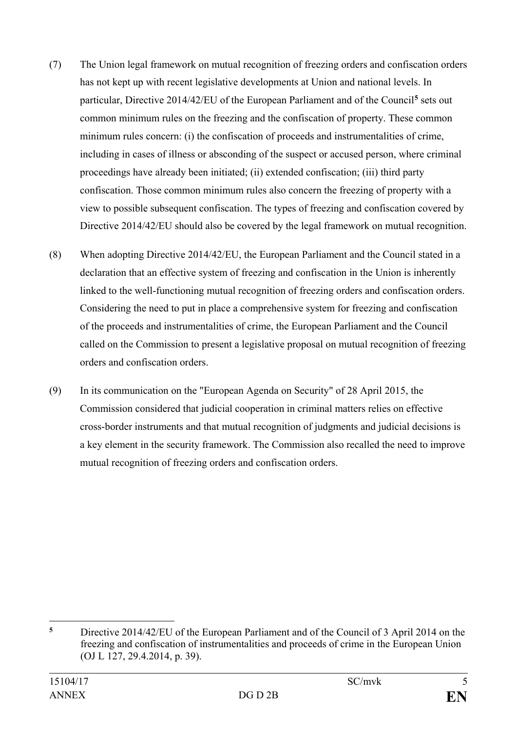- (7) The Union legal framework on mutual recognition of freezing orders and confiscation orders has not kept up with recent legislative developments at Union and national levels. In particular, Directive 2014/42/EU of the European Parliament and of the Council**[5](#page-4-0)** sets out common minimum rules on the freezing and the confiscation of property. These common minimum rules concern: (i) the confiscation of proceeds and instrumentalities of crime, including in cases of illness or absconding of the suspect or accused person, where criminal proceedings have already been initiated; (ii) extended confiscation; (iii) third party confiscation. Those common minimum rules also concern the freezing of property with a view to possible subsequent confiscation. The types of freezing and confiscation covered by Directive 2014/42/EU should also be covered by the legal framework on mutual recognition.
- (8) When adopting Directive 2014/42/EU, the European Parliament and the Council stated in a declaration that an effective system of freezing and confiscation in the Union is inherently linked to the well-functioning mutual recognition of freezing orders and confiscation orders. Considering the need to put in place a comprehensive system for freezing and confiscation of the proceeds and instrumentalities of crime, the European Parliament and the Council called on the Commission to present a legislative proposal on mutual recognition of freezing orders and confiscation orders.
- (9) In its communication on the "European Agenda on Security" of 28 April 2015, the Commission considered that judicial cooperation in criminal matters relies on effective cross-border instruments and that mutual recognition of judgments and judicial decisions is a key element in the security framework. The Commission also recalled the need to improve mutual recognition of freezing orders and confiscation orders.

<span id="page-4-0"></span> $\overline{5}$ **<sup>5</sup>** Directive 2014/42/EU of the European Parliament and of the Council of 3 April 2014 on the freezing and confiscation of instrumentalities and proceeds of crime in the European Union (OJ L 127, 29.4.2014, p. 39).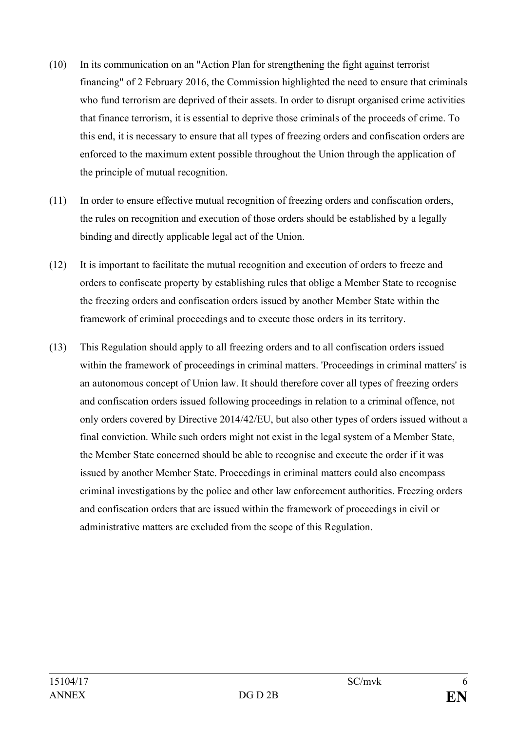- (10) In its communication on an "Action Plan for strengthening the fight against terrorist financing" of 2 February 2016, the Commission highlighted the need to ensure that criminals who fund terrorism are deprived of their assets. In order to disrupt organised crime activities that finance terrorism, it is essential to deprive those criminals of the proceeds of crime. To this end, it is necessary to ensure that all types of freezing orders and confiscation orders are enforced to the maximum extent possible throughout the Union through the application of the principle of mutual recognition.
- (11) In order to ensure effective mutual recognition of freezing orders and confiscation orders, the rules on recognition and execution of those orders should be established by a legally binding and directly applicable legal act of the Union.
- (12) It is important to facilitate the mutual recognition and execution of orders to freeze and orders to confiscate property by establishing rules that oblige a Member State to recognise the freezing orders and confiscation orders issued by another Member State within the framework of criminal proceedings and to execute those orders in its territory.
- (13) This Regulation should apply to all freezing orders and to all confiscation orders issued within the framework of proceedings in criminal matters. 'Proceedings in criminal matters' is an autonomous concept of Union law. It should therefore cover all types of freezing orders and confiscation orders issued following proceedings in relation to a criminal offence, not only orders covered by Directive 2014/42/EU, but also other types of orders issued without a final conviction. While such orders might not exist in the legal system of a Member State, the Member State concerned should be able to recognise and execute the order if it was issued by another Member State. Proceedings in criminal matters could also encompass criminal investigations by the police and other law enforcement authorities. Freezing orders and confiscation orders that are issued within the framework of proceedings in civil or administrative matters are excluded from the scope of this Regulation.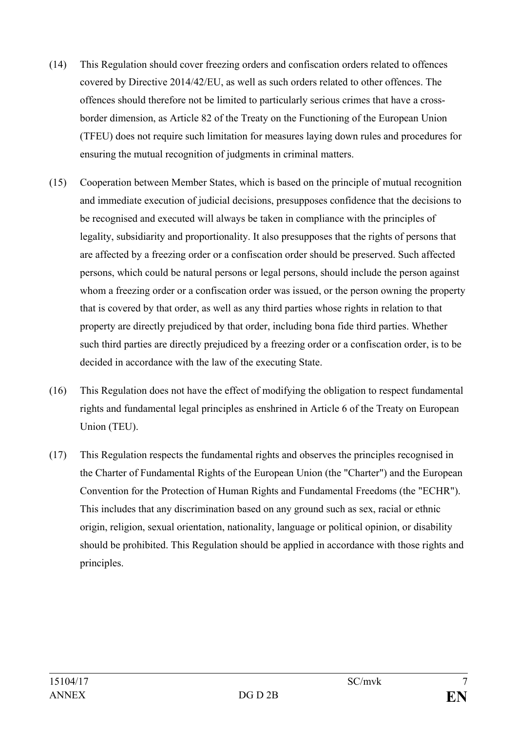- (14) This Regulation should cover freezing orders and confiscation orders related to offences covered by Directive 2014/42/EU, as well as such orders related to other offences. The offences should therefore not be limited to particularly serious crimes that have a crossborder dimension, as Article 82 of the Treaty on the Functioning of the European Union (TFEU) does not require such limitation for measures laying down rules and procedures for ensuring the mutual recognition of judgments in criminal matters.
- (15) Cooperation between Member States, which is based on the principle of mutual recognition and immediate execution of judicial decisions, presupposes confidence that the decisions to be recognised and executed will always be taken in compliance with the principles of legality, subsidiarity and proportionality. It also presupposes that the rights of persons that are affected by a freezing order or a confiscation order should be preserved. Such affected persons, which could be natural persons or legal persons, should include the person against whom a freezing order or a confiscation order was issued, or the person owning the property that is covered by that order, as well as any third parties whose rights in relation to that property are directly prejudiced by that order, including bona fide third parties. Whether such third parties are directly prejudiced by a freezing order or a confiscation order, is to be decided in accordance with the law of the executing State.
- (16) This Regulation does not have the effect of modifying the obligation to respect fundamental rights and fundamental legal principles as enshrined in Article 6 of the Treaty on European Union (TEU).
- (17) This Regulation respects the fundamental rights and observes the principles recognised in the Charter of Fundamental Rights of the European Union (the "Charter") and the European Convention for the Protection of Human Rights and Fundamental Freedoms (the "ECHR"). This includes that any discrimination based on any ground such as sex, racial or ethnic origin, religion, sexual orientation, nationality, language or political opinion, or disability should be prohibited. This Regulation should be applied in accordance with those rights and principles.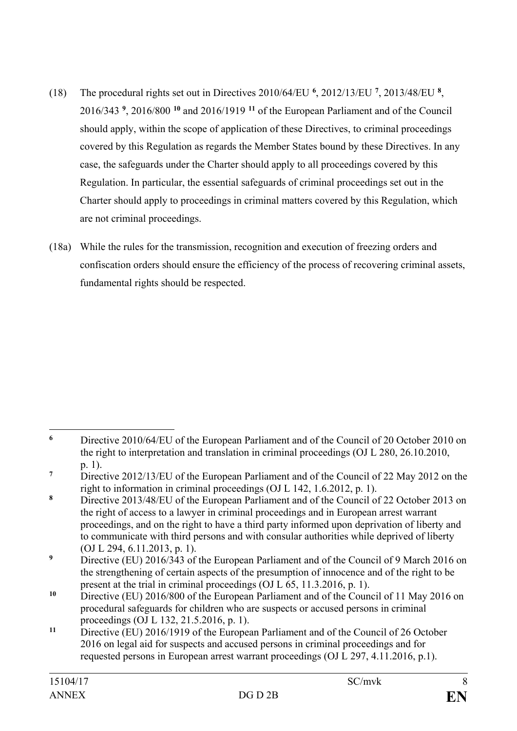- (18) The procedural rights set out in Directives 2010/64/EU **[6](#page-7-0)** , 2012/13/EU **[7](#page-7-1)**, 2013/48/EU **[8](#page-7-2)** , 2016/343 **[9](#page-7-3)** , 2016/800 **[10](#page-7-4)** and 2016/1919 **[11](#page-7-5)** of the European Parliament and of the Council should apply, within the scope of application of these Directives, to criminal proceedings covered by this Regulation as regards the Member States bound by these Directives. In any case, the safeguards under the Charter should apply to all proceedings covered by this Regulation. In particular, the essential safeguards of criminal proceedings set out in the Charter should apply to proceedings in criminal matters covered by this Regulation, which are not criminal proceedings.
- (18a) While the rules for the transmission, recognition and execution of freezing orders and confiscation orders should ensure the efficiency of the process of recovering criminal assets, fundamental rights should be respected.

<span id="page-7-0"></span> $\overline{a}$ **<sup>6</sup>** Directive 2010/64/EU of the European Parliament and of the Council of 20 October 2010 on the right to interpretation and translation in criminal proceedings (OJ L 280, 26.10.2010, p. 1).

<span id="page-7-1"></span>**<sup>7</sup>** Directive 2012/13/EU of the European Parliament and of the Council of 22 May 2012 on the right to information in criminal proceedings (OJ L 142, 1.6.2012, p. 1).

<span id="page-7-2"></span>**<sup>8</sup>** Directive 2013/48/EU of the European Parliament and of the Council of 22 October 2013 on the right of access to a lawyer in criminal proceedings and in European arrest warrant proceedings, and on the right to have a third party informed upon deprivation of liberty and to communicate with third persons and with consular authorities while deprived of liberty (OJ L 294, 6.11.2013, p. 1).

<span id="page-7-3"></span><sup>&</sup>lt;sup>9</sup> Directive (EU) 2016/343 of the European Parliament and of the Council of 9 March 2016 on the strengthening of certain aspects of the presumption of innocence and of the right to be present at the trial in criminal proceedings (OJ L 65, 11.3.2016, p. 1).

<span id="page-7-4"></span>**<sup>10</sup>** Directive (EU) 2016/800 of the European Parliament and of the Council of 11 May 2016 on procedural safeguards for children who are suspects or accused persons in criminal proceedings (OJ L 132, 21.5.2016, p. 1).

<span id="page-7-5"></span>**<sup>11</sup>** Directive (EU) 2016/1919 of the European Parliament and of the Council of 26 October 2016 on legal aid for suspects and accused persons in criminal proceedings and for requested persons in European arrest warrant proceedings (OJ L 297, 4.11.2016, p.1).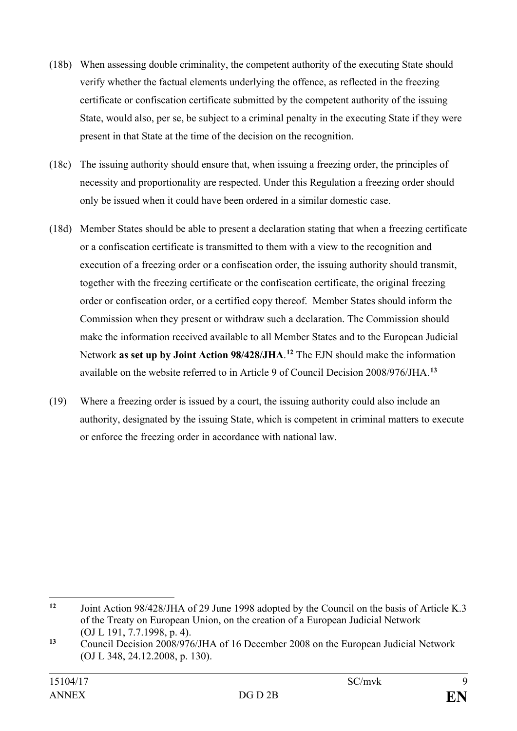- (18b) When assessing double criminality, the competent authority of the executing State should verify whether the factual elements underlying the offence, as reflected in the freezing certificate or confiscation certificate submitted by the competent authority of the issuing State, would also, per se, be subject to a criminal penalty in the executing State if they were present in that State at the time of the decision on the recognition.
- (18c) The issuing authority should ensure that, when issuing a freezing order, the principles of necessity and proportionality are respected. Under this Regulation a freezing order should only be issued when it could have been ordered in a similar domestic case.
- (18d) Member States should be able to present a declaration stating that when a freezing certificate or a confiscation certificate is transmitted to them with a view to the recognition and execution of a freezing order or a confiscation order, the issuing authority should transmit, together with the freezing certificate or the confiscation certificate, the original freezing order or confiscation order, or a certified copy thereof. Member States should inform the Commission when they present or withdraw such a declaration. The Commission should make the information received available to all Member States and to the European Judicial Network **as set up by Joint Action 98/428/JHA**. **[12](#page-8-0)** The EJN should make the information available on the website referred to in Article 9 of Council Decision 2008/976/JHA.**[13](#page-8-1)**
- (19) Where a freezing order is issued by a court, the issuing authority could also include an authority, designated by the issuing State, which is competent in criminal matters to execute or enforce the freezing order in accordance with national law.

<span id="page-8-0"></span> $12$ **<sup>12</sup>** Joint Action 98/428/JHA of 29 June 1998 adopted by the Council on the basis of Article K.3 of the Treaty on European Union, on the creation of a European Judicial Network (OJ L 191, 7.7.1998, p. 4).

<span id="page-8-1"></span><sup>&</sup>lt;sup>13</sup> Council Decision 2008/976/JHA of 16 December 2008 on the European Judicial Network (OJ L 348, 24.12.2008, p. 130).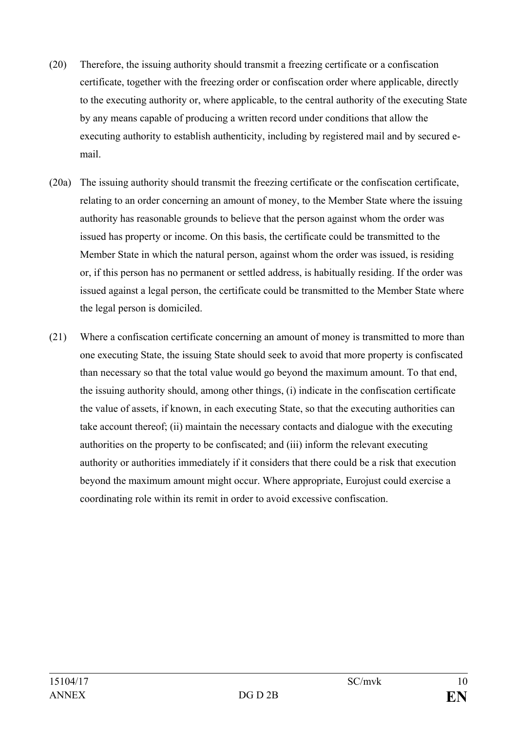- (20) Therefore, the issuing authority should transmit a freezing certificate or a confiscation certificate, together with the freezing order or confiscation order where applicable, directly to the executing authority or, where applicable, to the central authority of the executing State by any means capable of producing a written record under conditions that allow the executing authority to establish authenticity, including by registered mail and by secured email.
- (20a) The issuing authority should transmit the freezing certificate or the confiscation certificate, relating to an order concerning an amount of money, to the Member State where the issuing authority has reasonable grounds to believe that the person against whom the order was issued has property or income. On this basis, the certificate could be transmitted to the Member State in which the natural person, against whom the order was issued, is residing or, if this person has no permanent or settled address, is habitually residing. If the order was issued against a legal person, the certificate could be transmitted to the Member State where the legal person is domiciled.
- (21) Where a confiscation certificate concerning an amount of money is transmitted to more than one executing State, the issuing State should seek to avoid that more property is confiscated than necessary so that the total value would go beyond the maximum amount. To that end, the issuing authority should, among other things, (i) indicate in the confiscation certificate the value of assets, if known, in each executing State, so that the executing authorities can take account thereof; (ii) maintain the necessary contacts and dialogue with the executing authorities on the property to be confiscated; and (iii) inform the relevant executing authority or authorities immediately if it considers that there could be a risk that execution beyond the maximum amount might occur. Where appropriate, Eurojust could exercise a coordinating role within its remit in order to avoid excessive confiscation.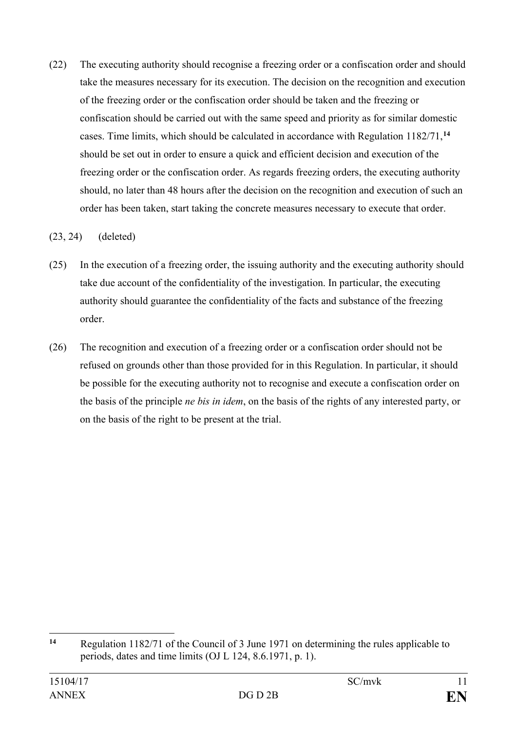(22) The executing authority should recognise a freezing order or a confiscation order and should take the measures necessary for its execution. The decision on the recognition and execution of the freezing order or the confiscation order should be taken and the freezing or confiscation should be carried out with the same speed and priority as for similar domestic cases. Time limits, which should be calculated in accordance with Regulation 1182/71,**[14](#page-10-0)** should be set out in order to ensure a quick and efficient decision and execution of the freezing order or the confiscation order. As regards freezing orders, the executing authority should, no later than 48 hours after the decision on the recognition and execution of such an order has been taken, start taking the concrete measures necessary to execute that order.

## (23, 24) (deleted)

- (25) In the execution of a freezing order, the issuing authority and the executing authority should take due account of the confidentiality of the investigation. In particular, the executing authority should guarantee the confidentiality of the facts and substance of the freezing order.
- (26) The recognition and execution of a freezing order or a confiscation order should not be refused on grounds other than those provided for in this Regulation. In particular, it should be possible for the executing authority not to recognise and execute a confiscation order on the basis of the principle *ne bis in idem*, on the basis of the rights of any interested party, or on the basis of the right to be present at the trial.

<span id="page-10-0"></span> $14$ **<sup>14</sup>** Regulation 1182/71 of the Council of 3 June 1971 on determining the rules applicable to periods, dates and time limits (OJ L 124, 8.6.1971, p. 1).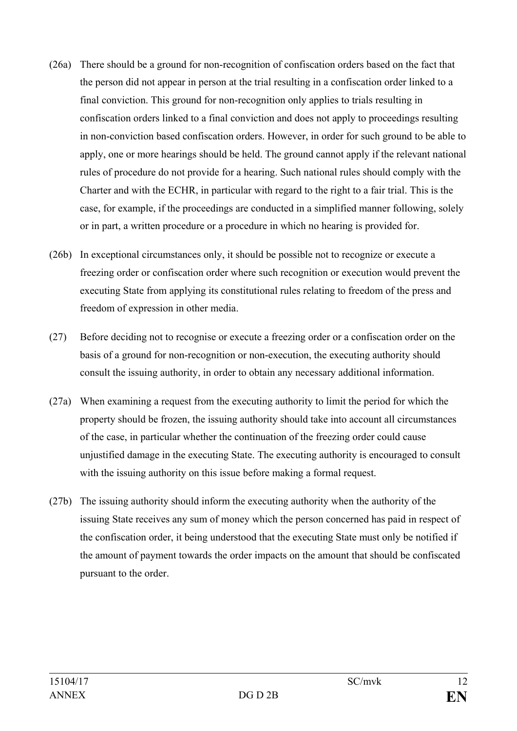- (26a) There should be a ground for non-recognition of confiscation orders based on the fact that the person did not appear in person at the trial resulting in a confiscation order linked to a final conviction. This ground for non-recognition only applies to trials resulting in confiscation orders linked to a final conviction and does not apply to proceedings resulting in non-conviction based confiscation orders. However, in order for such ground to be able to apply, one or more hearings should be held. The ground cannot apply if the relevant national rules of procedure do not provide for a hearing. Such national rules should comply with the Charter and with the ECHR, in particular with regard to the right to a fair trial. This is the case, for example, if the proceedings are conducted in a simplified manner following, solely or in part, a written procedure or a procedure in which no hearing is provided for.
- (26b) In exceptional circumstances only, it should be possible not to recognize or execute a freezing order or confiscation order where such recognition or execution would prevent the executing State from applying its constitutional rules relating to freedom of the press and freedom of expression in other media.
- (27) Before deciding not to recognise or execute a freezing order or a confiscation order on the basis of a ground for non-recognition or non-execution, the executing authority should consult the issuing authority, in order to obtain any necessary additional information.
- (27a) When examining a request from the executing authority to limit the period for which the property should be frozen, the issuing authority should take into account all circumstances of the case, in particular whether the continuation of the freezing order could cause unjustified damage in the executing State. The executing authority is encouraged to consult with the issuing authority on this issue before making a formal request.
- (27b) The issuing authority should inform the executing authority when the authority of the issuing State receives any sum of money which the person concerned has paid in respect of the confiscation order, it being understood that the executing State must only be notified if the amount of payment towards the order impacts on the amount that should be confiscated pursuant to the order.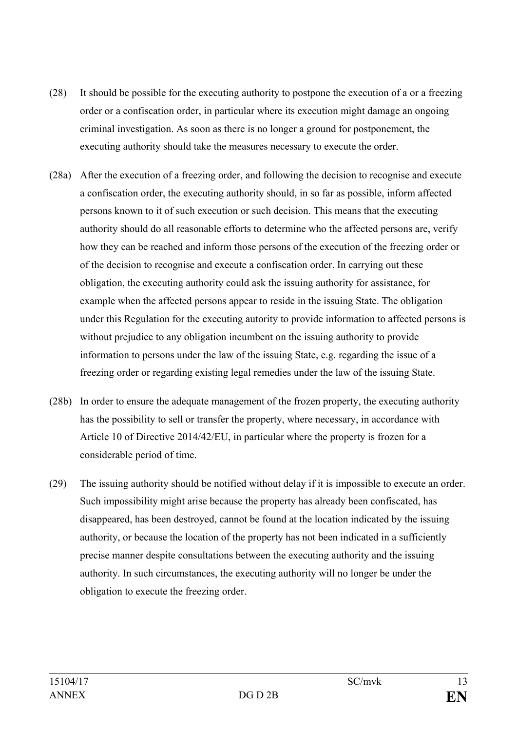- (28) It should be possible for the executing authority to postpone the execution of a or a freezing order or a confiscation order, in particular where its execution might damage an ongoing criminal investigation. As soon as there is no longer a ground for postponement, the executing authority should take the measures necessary to execute the order.
- (28a) After the execution of a freezing order, and following the decision to recognise and execute a confiscation order, the executing authority should, in so far as possible, inform affected persons known to it of such execution or such decision. This means that the executing authority should do all reasonable efforts to determine who the affected persons are, verify how they can be reached and inform those persons of the execution of the freezing order or of the decision to recognise and execute a confiscation order. In carrying out these obligation, the executing authority could ask the issuing authority for assistance, for example when the affected persons appear to reside in the issuing State. The obligation under this Regulation for the executing autority to provide information to affected persons is without prejudice to any obligation incumbent on the issuing authority to provide information to persons under the law of the issuing State, e.g. regarding the issue of a freezing order or regarding existing legal remedies under the law of the issuing State.
- (28b) In order to ensure the adequate management of the frozen property, the executing authority has the possibility to sell or transfer the property, where necessary, in accordance with Article 10 of Directive 2014/42/EU, in particular where the property is frozen for a considerable period of time.
- (29) The issuing authority should be notified without delay if it is impossible to execute an order. Such impossibility might arise because the property has already been confiscated, has disappeared, has been destroyed, cannot be found at the location indicated by the issuing authority, or because the location of the property has not been indicated in a sufficiently precise manner despite consultations between the executing authority and the issuing authority. In such circumstances, the executing authority will no longer be under the obligation to execute the freezing order.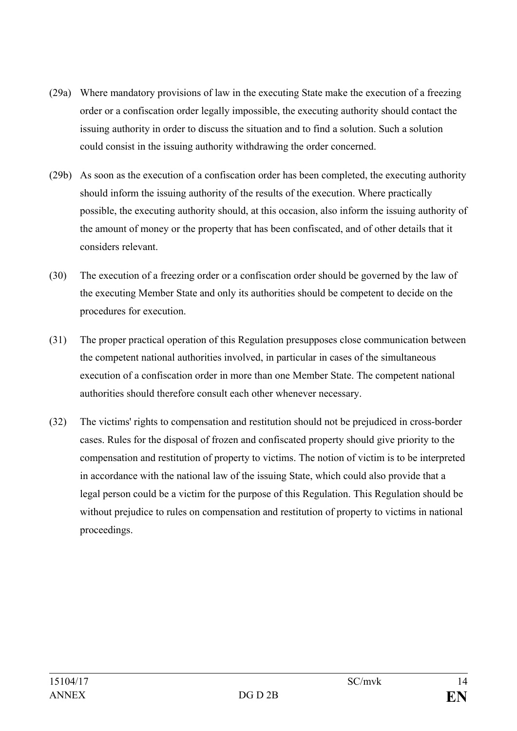- (29a) Where mandatory provisions of law in the executing State make the execution of a freezing order or a confiscation order legally impossible, the executing authority should contact the issuing authority in order to discuss the situation and to find a solution. Such a solution could consist in the issuing authority withdrawing the order concerned.
- (29b) As soon as the execution of a confiscation order has been completed, the executing authority should inform the issuing authority of the results of the execution. Where practically possible, the executing authority should, at this occasion, also inform the issuing authority of the amount of money or the property that has been confiscated, and of other details that it considers relevant.
- (30) The execution of a freezing order or a confiscation order should be governed by the law of the executing Member State and only its authorities should be competent to decide on the procedures for execution.
- (31) The proper practical operation of this Regulation presupposes close communication between the competent national authorities involved, in particular in cases of the simultaneous execution of a confiscation order in more than one Member State. The competent national authorities should therefore consult each other whenever necessary.
- (32) The victims' rights to compensation and restitution should not be prejudiced in cross-border cases. Rules for the disposal of frozen and confiscated property should give priority to the compensation and restitution of property to victims. The notion of victim is to be interpreted in accordance with the national law of the issuing State, which could also provide that a legal person could be a victim for the purpose of this Regulation. This Regulation should be without prejudice to rules on compensation and restitution of property to victims in national proceedings.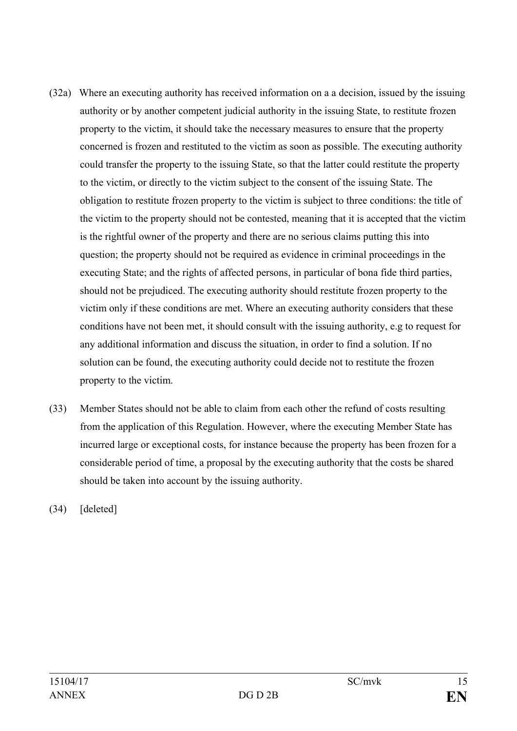- (32a) Where an executing authority has received information on a a decision, issued by the issuing authority or by another competent judicial authority in the issuing State, to restitute frozen property to the victim, it should take the necessary measures to ensure that the property concerned is frozen and restituted to the victim as soon as possible. The executing authority could transfer the property to the issuing State, so that the latter could restitute the property to the victim, or directly to the victim subject to the consent of the issuing State. The obligation to restitute frozen property to the victim is subject to three conditions: the title of the victim to the property should not be contested, meaning that it is accepted that the victim is the rightful owner of the property and there are no serious claims putting this into question; the property should not be required as evidence in criminal proceedings in the executing State; and the rights of affected persons, in particular of bona fide third parties, should not be prejudiced. The executing authority should restitute frozen property to the victim only if these conditions are met. Where an executing authority considers that these conditions have not been met, it should consult with the issuing authority, e.g to request for any additional information and discuss the situation, in order to find a solution. If no solution can be found, the executing authority could decide not to restitute the frozen property to the victim.
- (33) Member States should not be able to claim from each other the refund of costs resulting from the application of this Regulation. However, where the executing Member State has incurred large or exceptional costs, for instance because the property has been frozen for a considerable period of time, a proposal by the executing authority that the costs be shared should be taken into account by the issuing authority.

(34) [deleted]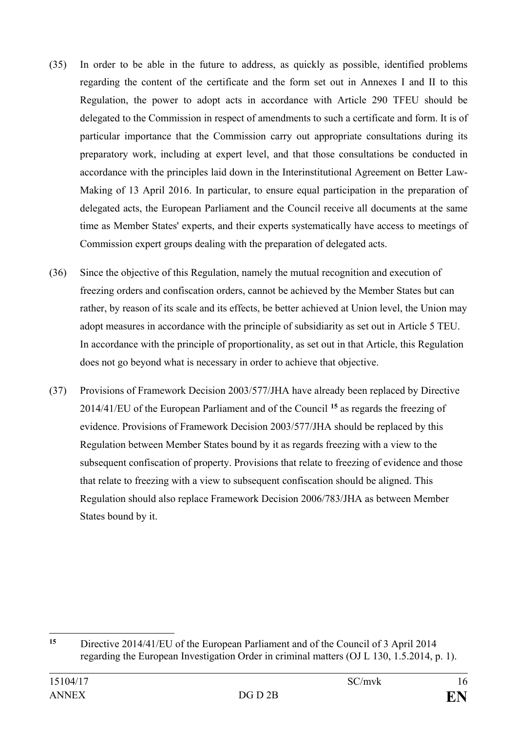- (35) In order to be able in the future to address, as quickly as possible, identified problems regarding the content of the certificate and the form set out in Annexes I and II to this Regulation, the power to adopt acts in accordance with Article 290 TFEU should be delegated to the Commission in respect of amendments to such a certificate and form. It is of particular importance that the Commission carry out appropriate consultations during its preparatory work, including at expert level, and that those consultations be conducted in accordance with the principles laid down in the Interinstitutional Agreement on Better Law-Making of 13 April 2016. In particular, to ensure equal participation in the preparation of delegated acts, the European Parliament and the Council receive all documents at the same time as Member States' experts, and their experts systematically have access to meetings of Commission expert groups dealing with the preparation of delegated acts.
- (36) Since the objective of this Regulation, namely the mutual recognition and execution of freezing orders and confiscation orders, cannot be achieved by the Member States but can rather, by reason of its scale and its effects, be better achieved at Union level, the Union may adopt measures in accordance with the principle of subsidiarity as set out in Article 5 TEU. In accordance with the principle of proportionality, as set out in that Article, this Regulation does not go beyond what is necessary in order to achieve that objective.
- (37) Provisions of Framework Decision 2003/577/JHA have already been replaced by Directive 2014/41/EU of the European Parliament and of the Council **[15](#page-15-0)** as regards the freezing of evidence. Provisions of Framework Decision 2003/577/JHA should be replaced by this Regulation between Member States bound by it as regards freezing with a view to the subsequent confiscation of property. Provisions that relate to freezing of evidence and those that relate to freezing with a view to subsequent confiscation should be aligned. This Regulation should also replace Framework Decision 2006/783/JHA as between Member States bound by it.

<span id="page-15-0"></span> $15$ **<sup>15</sup>** Directive 2014/41/EU of the European Parliament and of the Council of 3 April 2014 regarding the European Investigation Order in criminal matters (OJ L 130, 1.5.2014, p. 1).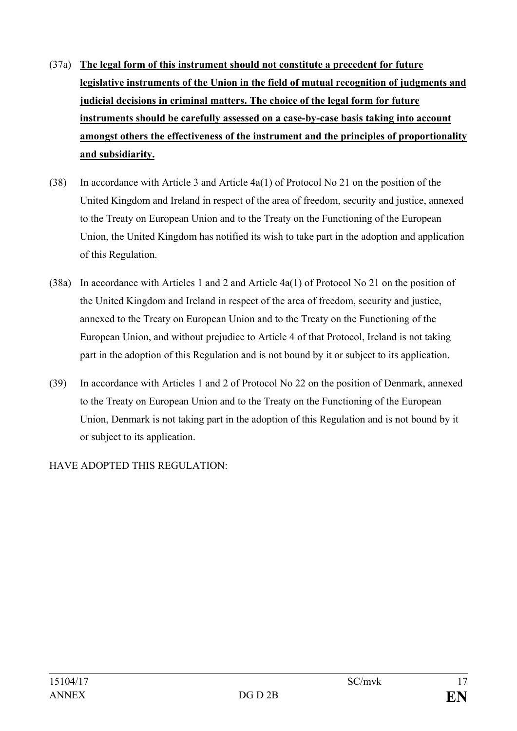- (37a) **The legal form of this instrument should not constitute a precedent for future legislative instruments of the Union in the field of mutual recognition of judgments and judicial decisions in criminal matters. The choice of the legal form for future instruments should be carefully assessed on a case-by-case basis taking into account amongst others the effectiveness of the instrument and the principles of proportionality and subsidiarity.**
- (38) In accordance with Article 3 and Article 4a(1) of Protocol No 21 on the position of the United Kingdom and Ireland in respect of the area of freedom, security and justice, annexed to the Treaty on European Union and to the Treaty on the Functioning of the European Union, the United Kingdom has notified its wish to take part in the adoption and application of this Regulation.
- (38a) In accordance with Articles 1 and 2 and Article 4a(1) of Protocol No 21 on the position of the United Kingdom and Ireland in respect of the area of freedom, security and justice, annexed to the Treaty on European Union and to the Treaty on the Functioning of the European Union, and without prejudice to Article 4 of that Protocol, Ireland is not taking part in the adoption of this Regulation and is not bound by it or subject to its application.
- (39) In accordance with Articles 1 and 2 of Protocol No 22 on the position of Denmark, annexed to the Treaty on European Union and to the Treaty on the Functioning of the European Union, Denmark is not taking part in the adoption of this Regulation and is not bound by it or subject to its application.

HAVE ADOPTED THIS REGULATION: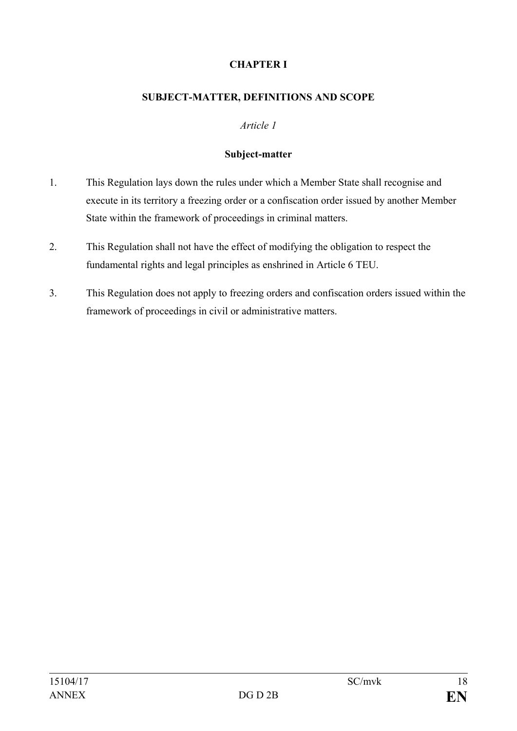# **CHAPTER I**

### **SUBJECT-MATTER, DEFINITIONS AND SCOPE**

#### *Article 1*

#### **Subject-matter**

- 1. This Regulation lays down the rules under which a Member State shall recognise and execute in its territory a freezing order or a confiscation order issued by another Member State within the framework of proceedings in criminal matters.
- 2. This Regulation shall not have the effect of modifying the obligation to respect the fundamental rights and legal principles as enshrined in Article 6 TEU.
- 3. This Regulation does not apply to freezing orders and confiscation orders issued within the framework of proceedings in civil or administrative matters.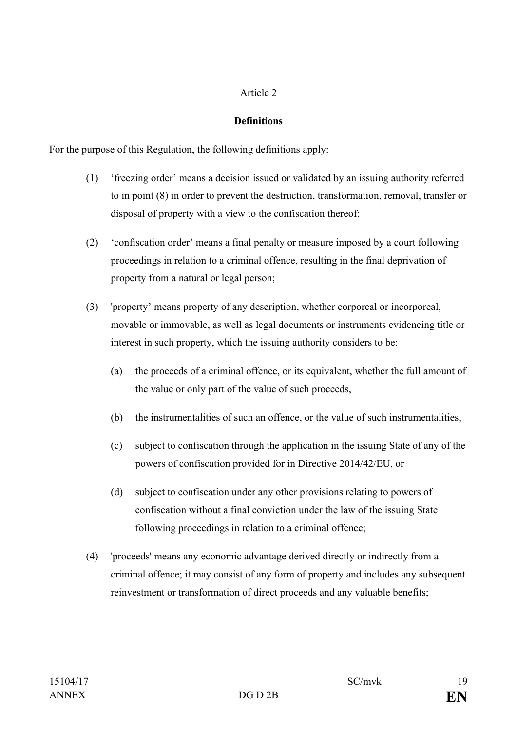## **Definitions**

For the purpose of this Regulation, the following definitions apply:

- (1) 'freezing order' means a decision issued or validated by an issuing authority referred to in point (8) in order to prevent the destruction, transformation, removal, transfer or disposal of property with a view to the confiscation thereof;
- (2) 'confiscation order' means a final penalty or measure imposed by a court following proceedings in relation to a criminal offence, resulting in the final deprivation of property from a natural or legal person;
- (3) 'property' means property of any description, whether corporeal or incorporeal, movable or immovable, as well as legal documents or instruments evidencing title or interest in such property, which the issuing authority considers to be:
	- (a) the proceeds of a criminal offence, or its equivalent, whether the full amount of the value or only part of the value of such proceeds,
	- (b) the instrumentalities of such an offence, or the value of such instrumentalities,
	- (c) subject to confiscation through the application in the issuing State of any of the powers of confiscation provided for in Directive 2014/42/EU, or
	- (d) subject to confiscation under any other provisions relating to powers of confiscation without a final conviction under the law of the issuing State following proceedings in relation to a criminal offence;
- (4) 'proceeds' means any economic advantage derived directly or indirectly from a criminal offence; it may consist of any form of property and includes any subsequent reinvestment or transformation of direct proceeds and any valuable benefits;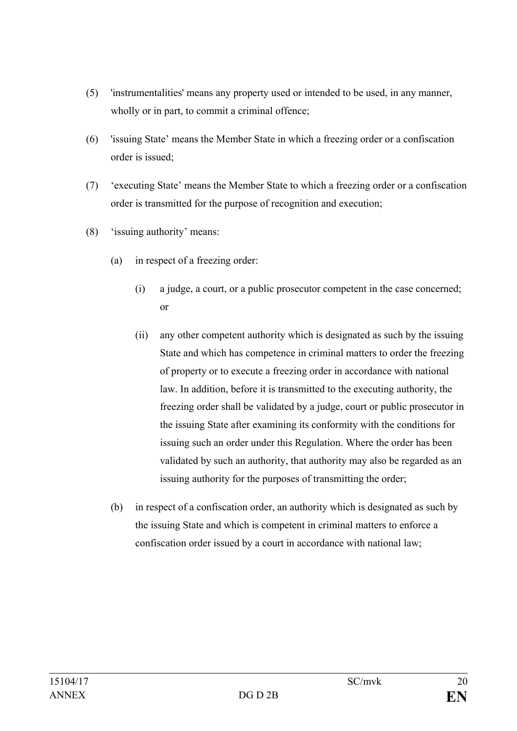- (5) 'instrumentalities' means any property used or intended to be used, in any manner, wholly or in part, to commit a criminal offence;
- (6) 'issuing State' means the Member State in which a freezing order or a confiscation order is issued;
- (7) 'executing State' means the Member State to which a freezing order or a confiscation order is transmitted for the purpose of recognition and execution;
- (8) 'issuing authority' means:
	- (a) in respect of a freezing order:
		- (i) a judge, a court, or a public prosecutor competent in the case concerned; or
		- (ii) any other competent authority which is designated as such by the issuing State and which has competence in criminal matters to order the freezing of property or to execute a freezing order in accordance with national law. In addition, before it is transmitted to the executing authority, the freezing order shall be validated by a judge, court or public prosecutor in the issuing State after examining its conformity with the conditions for issuing such an order under this Regulation. Where the order has been validated by such an authority, that authority may also be regarded as an issuing authority for the purposes of transmitting the order;
	- (b) in respect of a confiscation order, an authority which is designated as such by the issuing State and which is competent in criminal matters to enforce a confiscation order issued by a court in accordance with national law;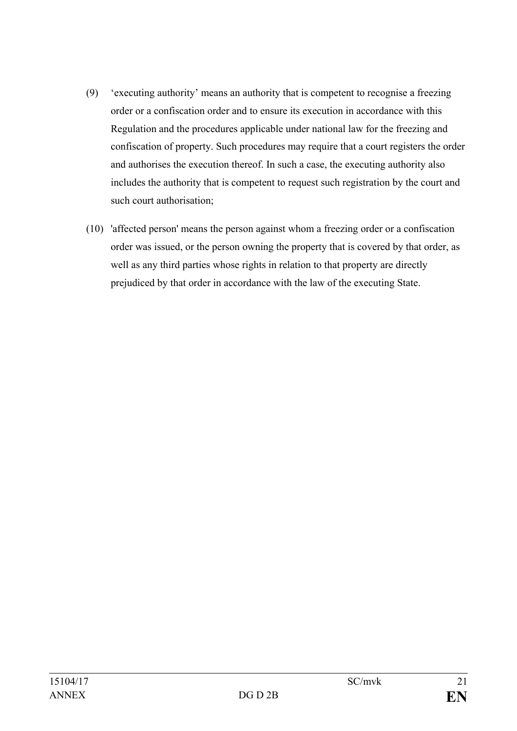- (9) 'executing authority' means an authority that is competent to recognise a freezing order or a confiscation order and to ensure its execution in accordance with this Regulation and the procedures applicable under national law for the freezing and confiscation of property. Such procedures may require that a court registers the order and authorises the execution thereof. In such a case, the executing authority also includes the authority that is competent to request such registration by the court and such court authorisation;
- (10) 'affected person' means the person against whom a freezing order or a confiscation order was issued, or the person owning the property that is covered by that order, as well as any third parties whose rights in relation to that property are directly prejudiced by that order in accordance with the law of the executing State.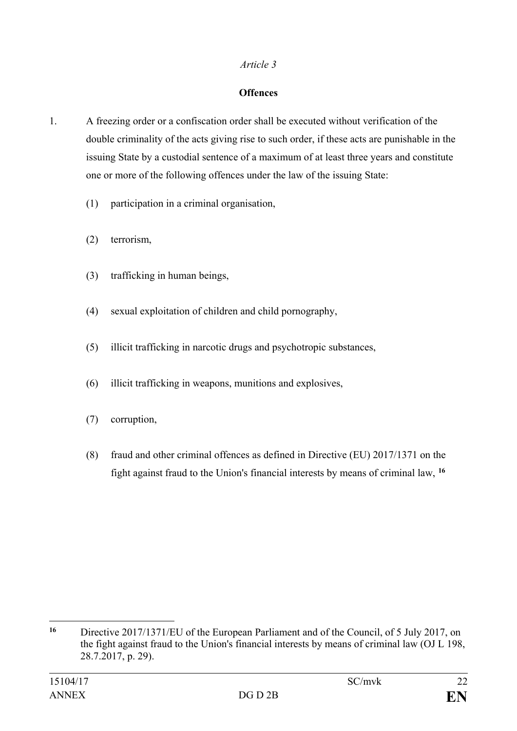#### **Offences**

- 1. A freezing order or a confiscation order shall be executed without verification of the double criminality of the acts giving rise to such order, if these acts are punishable in the issuing State by a custodial sentence of a maximum of at least three years and constitute one or more of the following offences under the law of the issuing State:
	- (1) participation in a criminal organisation,
	- (2) terrorism,
	- (3) trafficking in human beings,
	- (4) sexual exploitation of children and child pornography,
	- (5) illicit trafficking in narcotic drugs and psychotropic substances,
	- (6) illicit trafficking in weapons, munitions and explosives,
	- (7) corruption,
	- (8) fraud and other criminal offences as defined in Directive (EU) 2017/1371 on the fight against fraud to the Union's financial interests by means of criminal law, **[16](#page-21-0)**

<span id="page-21-0"></span> $16$ **<sup>16</sup>** Directive 2017/1371/EU of the European Parliament and of the Council, of 5 July 2017, on the fight against fraud to the Union's financial interests by means of criminal law (OJ L 198, 28.7.2017, p. 29).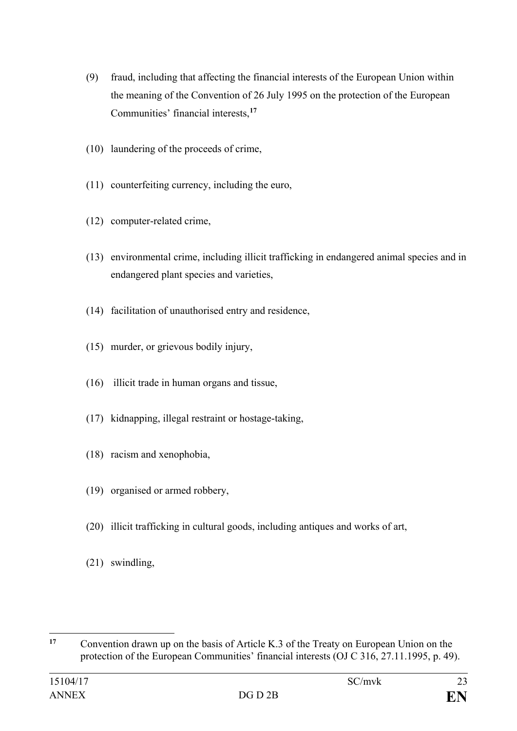- (9) fraud, including that affecting the financial interests of the European Union within the meaning of the Convention of 26 July 1995 on the protection of the European Communities' financial interests,**[17](#page-22-0)**
- (10) laundering of the proceeds of crime,
- (11) counterfeiting currency, including the euro,
- (12) computer-related crime,
- (13) environmental crime, including illicit trafficking in endangered animal species and in endangered plant species and varieties,
- (14) facilitation of unauthorised entry and residence,
- (15) murder, or grievous bodily injury,
- (16) illicit trade in human organs and tissue,
- (17) kidnapping, illegal restraint or hostage-taking,
- (18) racism and xenophobia,
- (19) organised or armed robbery,
- (20) illicit trafficking in cultural goods, including antiques and works of art,
- (21) swindling,

<span id="page-22-0"></span> $17$ **<sup>17</sup>** Convention drawn up on the basis of Article K.3 of the Treaty on European Union on the protection of the European Communities' financial interests (OJ C 316, 27.11.1995, p. 49).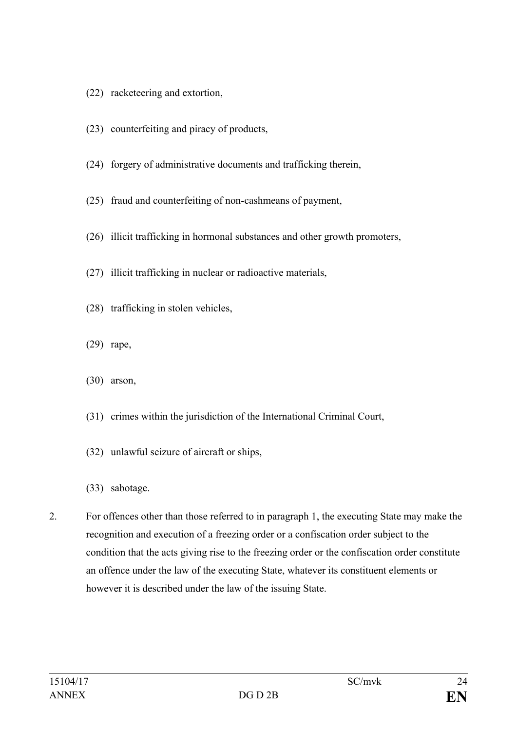- (22) racketeering and extortion,
- (23) counterfeiting and piracy of products,
- (24) forgery of administrative documents and trafficking therein,
- (25) fraud and counterfeiting of non-cashmeans of payment,
- (26) illicit trafficking in hormonal substances and other growth promoters,
- (27) illicit trafficking in nuclear or radioactive materials,
- (28) trafficking in stolen vehicles,
- (29) rape,
- (30) arson,
- (31) crimes within the jurisdiction of the International Criminal Court,
- (32) unlawful seizure of aircraft or ships,
- (33) sabotage.
- 2. For offences other than those referred to in paragraph 1, the executing State may make the recognition and execution of a freezing order or a confiscation order subject to the condition that the acts giving rise to the freezing order or the confiscation order constitute an offence under the law of the executing State, whatever its constituent elements or however it is described under the law of the issuing State.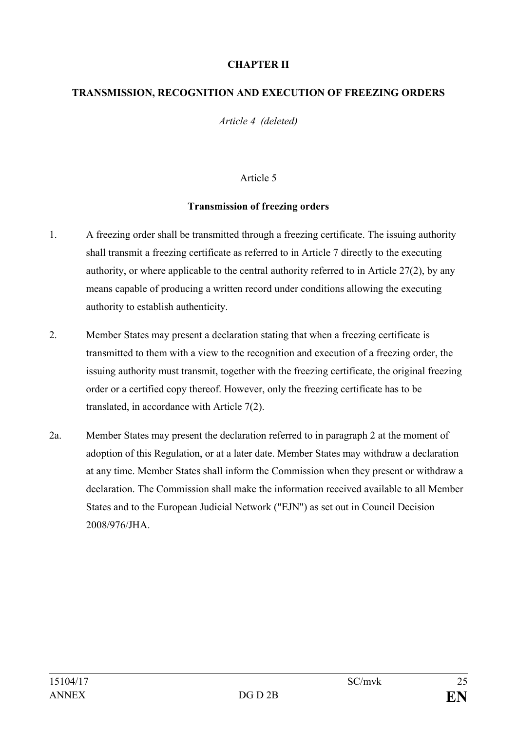## **CHAPTER II**

#### **TRANSMISSION, RECOGNITION AND EXECUTION OF FREEZING ORDERS**

*Article 4 (deleted)* 

### Article 5

#### **Transmission of freezing orders**

- 1. A freezing order shall be transmitted through a freezing certificate. The issuing authority shall transmit a freezing certificate as referred to in Article 7 directly to the executing authority, or where applicable to the central authority referred to in Article 27(2), by any means capable of producing a written record under conditions allowing the executing authority to establish authenticity.
- 2. Member States may present a declaration stating that when a freezing certificate is transmitted to them with a view to the recognition and execution of a freezing order, the issuing authority must transmit, together with the freezing certificate, the original freezing order or a certified copy thereof. However, only the freezing certificate has to be translated, in accordance with Article 7(2).
- 2a. Member States may present the declaration referred to in paragraph 2 at the moment of adoption of this Regulation, or at a later date. Member States may withdraw a declaration at any time. Member States shall inform the Commission when they present or withdraw a declaration. The Commission shall make the information received available to all Member States and to the European Judicial Network ("EJN") as set out in Council Decision 2008/976/JHA.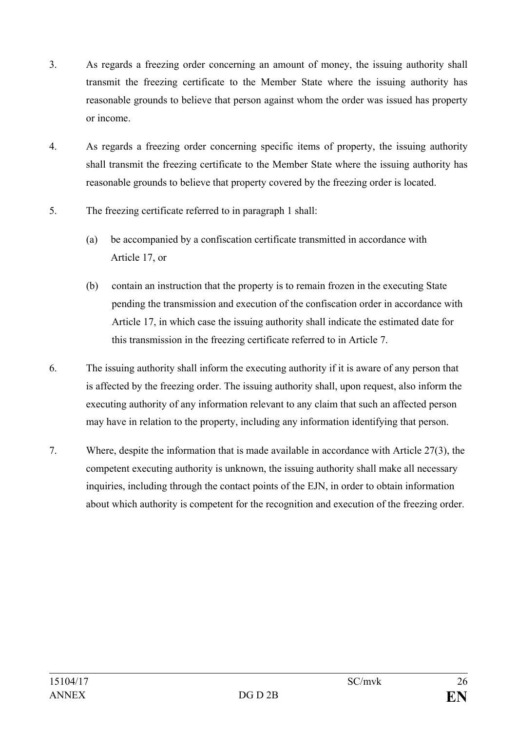- 3. As regards a freezing order concerning an amount of money, the issuing authority shall transmit the freezing certificate to the Member State where the issuing authority has reasonable grounds to believe that person against whom the order was issued has property or income.
- 4. As regards a freezing order concerning specific items of property, the issuing authority shall transmit the freezing certificate to the Member State where the issuing authority has reasonable grounds to believe that property covered by the freezing order is located.
- 5. The freezing certificate referred to in paragraph 1 shall:
	- (a) be accompanied by a confiscation certificate transmitted in accordance with Article 17, or
	- (b) contain an instruction that the property is to remain frozen in the executing State pending the transmission and execution of the confiscation order in accordance with Article 17, in which case the issuing authority shall indicate the estimated date for this transmission in the freezing certificate referred to in Article 7.
- 6. The issuing authority shall inform the executing authority if it is aware of any person that is affected by the freezing order. The issuing authority shall, upon request, also inform the executing authority of any information relevant to any claim that such an affected person may have in relation to the property, including any information identifying that person.
- 7. Where, despite the information that is made available in accordance with Article 27(3), the competent executing authority is unknown, the issuing authority shall make all necessary inquiries, including through the contact points of the EJN, in order to obtain information about which authority is competent for the recognition and execution of the freezing order.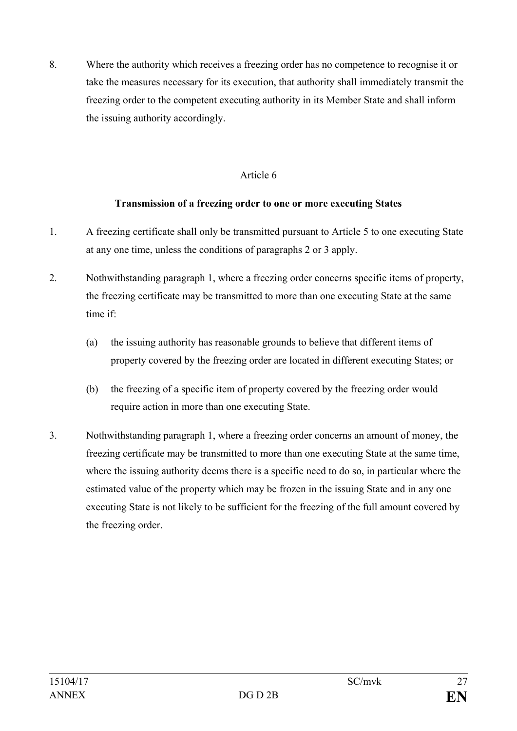8. Where the authority which receives a freezing order has no competence to recognise it or take the measures necessary for its execution, that authority shall immediately transmit the freezing order to the competent executing authority in its Member State and shall inform the issuing authority accordingly.

## Article 6

## **Transmission of a freezing order to one or more executing States**

- 1. A freezing certificate shall only be transmitted pursuant to Article 5 to one executing State at any one time, unless the conditions of paragraphs 2 or 3 apply.
- 2. Nothwithstanding paragraph 1, where a freezing order concerns specific items of property, the freezing certificate may be transmitted to more than one executing State at the same time if:
	- (a) the issuing authority has reasonable grounds to believe that different items of property covered by the freezing order are located in different executing States; or
	- (b) the freezing of a specific item of property covered by the freezing order would require action in more than one executing State.
- 3. Nothwithstanding paragraph 1, where a freezing order concerns an amount of money, the freezing certificate may be transmitted to more than one executing State at the same time, where the issuing authority deems there is a specific need to do so, in particular where the estimated value of the property which may be frozen in the issuing State and in any one executing State is not likely to be sufficient for the freezing of the full amount covered by the freezing order.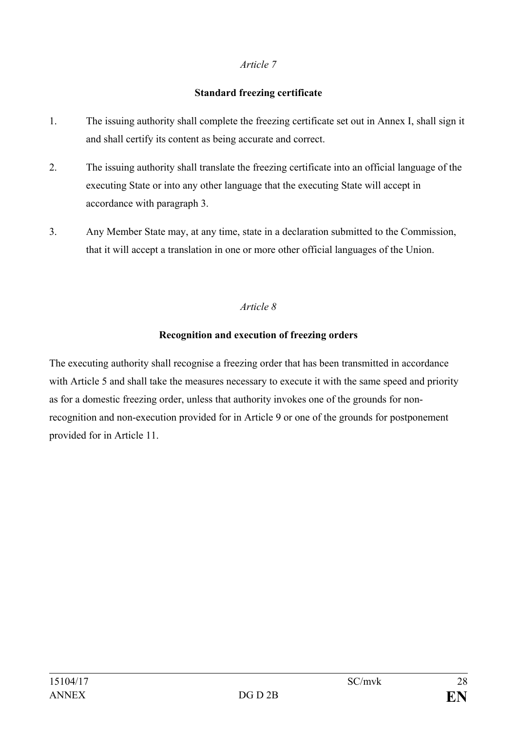## **Standard freezing certificate**

- 1. The issuing authority shall complete the freezing certificate set out in Annex I, shall sign it and shall certify its content as being accurate and correct.
- 2. The issuing authority shall translate the freezing certificate into an official language of the executing State or into any other language that the executing State will accept in accordance with paragraph 3.
- 3. Any Member State may, at any time, state in a declaration submitted to the Commission, that it will accept a translation in one or more other official languages of the Union.

## *Article 8*

## **Recognition and execution of freezing orders**

The executing authority shall recognise a freezing order that has been transmitted in accordance with Article 5 and shall take the measures necessary to execute it with the same speed and priority as for a domestic freezing order, unless that authority invokes one of the grounds for nonrecognition and non-execution provided for in Article 9 or one of the grounds for postponement provided for in Article 11.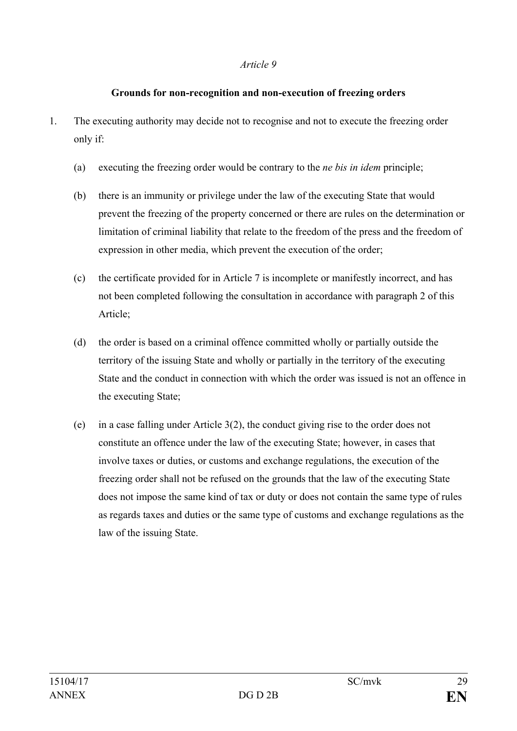### **Grounds for non-recognition and non-execution of freezing orders**

- 1. The executing authority may decide not to recognise and not to execute the freezing order only if:
	- (a) executing the freezing order would be contrary to the *ne bis in idem* principle;
	- (b) there is an immunity or privilege under the law of the executing State that would prevent the freezing of the property concerned or there are rules on the determination or limitation of criminal liability that relate to the freedom of the press and the freedom of expression in other media, which prevent the execution of the order;
	- (c) the certificate provided for in Article 7 is incomplete or manifestly incorrect, and has not been completed following the consultation in accordance with paragraph 2 of this Article;
	- (d) the order is based on a criminal offence committed wholly or partially outside the territory of the issuing State and wholly or partially in the territory of the executing State and the conduct in connection with which the order was issued is not an offence in the executing State;
	- (e) in a case falling under Article 3(2), the conduct giving rise to the order does not constitute an offence under the law of the executing State; however, in cases that involve taxes or duties, or customs and exchange regulations, the execution of the freezing order shall not be refused on the grounds that the law of the executing State does not impose the same kind of tax or duty or does not contain the same type of rules as regards taxes and duties or the same type of customs and exchange regulations as the law of the issuing State.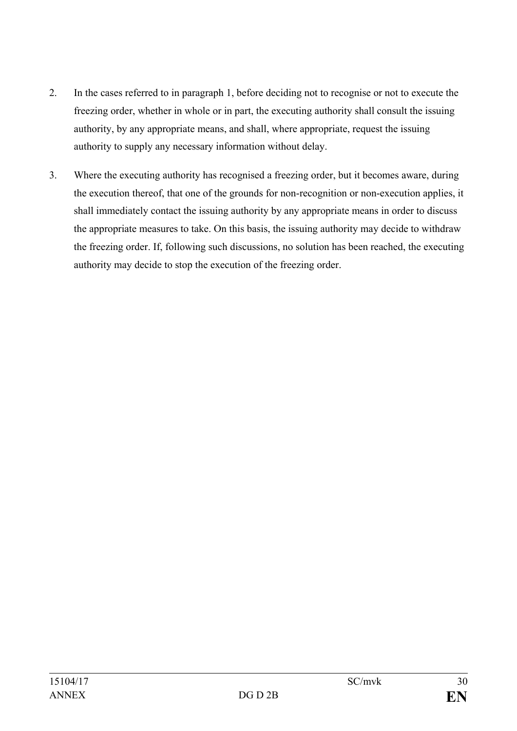- 2. In the cases referred to in paragraph 1, before deciding not to recognise or not to execute the freezing order, whether in whole or in part, the executing authority shall consult the issuing authority, by any appropriate means, and shall, where appropriate, request the issuing authority to supply any necessary information without delay.
- 3. Where the executing authority has recognised a freezing order, but it becomes aware, during the execution thereof, that one of the grounds for non-recognition or non-execution applies, it shall immediately contact the issuing authority by any appropriate means in order to discuss the appropriate measures to take. On this basis, the issuing authority may decide to withdraw the freezing order. If, following such discussions, no solution has been reached, the executing authority may decide to stop the execution of the freezing order.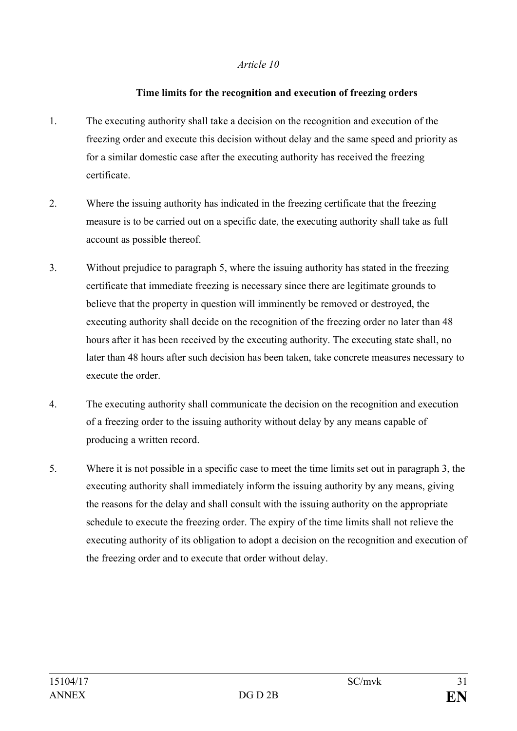### **Time limits for the recognition and execution of freezing orders**

- 1. The executing authority shall take a decision on the recognition and execution of the freezing order and execute this decision without delay and the same speed and priority as for a similar domestic case after the executing authority has received the freezing certificate.
- 2. Where the issuing authority has indicated in the freezing certificate that the freezing measure is to be carried out on a specific date, the executing authority shall take as full account as possible thereof.
- 3. Without prejudice to paragraph 5, where the issuing authority has stated in the freezing certificate that immediate freezing is necessary since there are legitimate grounds to believe that the property in question will imminently be removed or destroyed, the executing authority shall decide on the recognition of the freezing order no later than 48 hours after it has been received by the executing authority. The executing state shall, no later than 48 hours after such decision has been taken, take concrete measures necessary to execute the order
- 4. The executing authority shall communicate the decision on the recognition and execution of a freezing order to the issuing authority without delay by any means capable of producing a written record.
- 5. Where it is not possible in a specific case to meet the time limits set out in paragraph 3, the executing authority shall immediately inform the issuing authority by any means, giving the reasons for the delay and shall consult with the issuing authority on the appropriate schedule to execute the freezing order. The expiry of the time limits shall not relieve the executing authority of its obligation to adopt a decision on the recognition and execution of the freezing order and to execute that order without delay.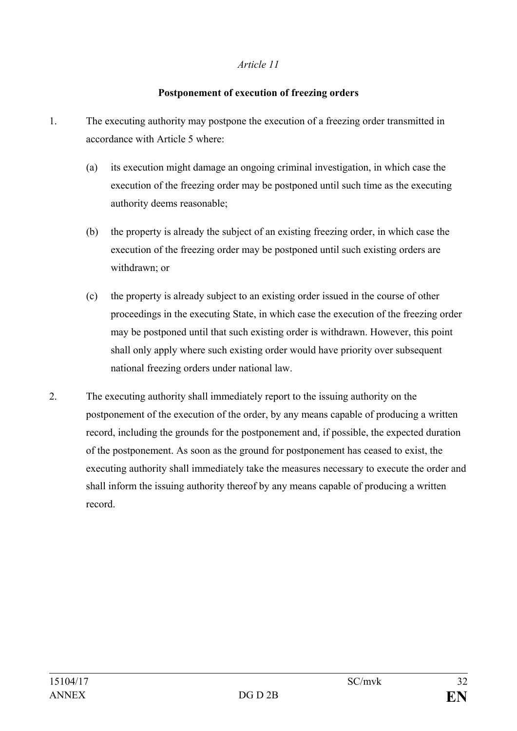## **Postponement of execution of freezing orders**

- 1. The executing authority may postpone the execution of a freezing order transmitted in accordance with Article 5 where:
	- (a) its execution might damage an ongoing criminal investigation, in which case the execution of the freezing order may be postponed until such time as the executing authority deems reasonable;
	- (b) the property is already the subject of an existing freezing order, in which case the execution of the freezing order may be postponed until such existing orders are withdrawn; or
	- (c) the property is already subject to an existing order issued in the course of other proceedings in the executing State, in which case the execution of the freezing order may be postponed until that such existing order is withdrawn. However, this point shall only apply where such existing order would have priority over subsequent national freezing orders under national law.
- 2. The executing authority shall immediately report to the issuing authority on the postponement of the execution of the order, by any means capable of producing a written record, including the grounds for the postponement and, if possible, the expected duration of the postponement. As soon as the ground for postponement has ceased to exist, the executing authority shall immediately take the measures necessary to execute the order and shall inform the issuing authority thereof by any means capable of producing a written record.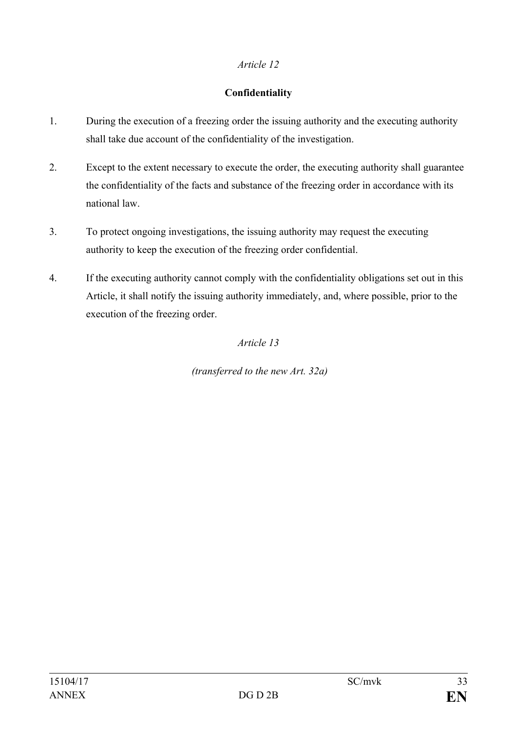## **Confidentiality**

- 1. During the execution of a freezing order the issuing authority and the executing authority shall take due account of the confidentiality of the investigation.
- 2. Except to the extent necessary to execute the order, the executing authority shall guarantee the confidentiality of the facts and substance of the freezing order in accordance with its national law.
- 3. To protect ongoing investigations, the issuing authority may request the executing authority to keep the execution of the freezing order confidential.
- 4. If the executing authority cannot comply with the confidentiality obligations set out in this Article, it shall notify the issuing authority immediately, and, where possible, prior to the execution of the freezing order.

# *Article 13*

*(transferred to the new Art. 32a)*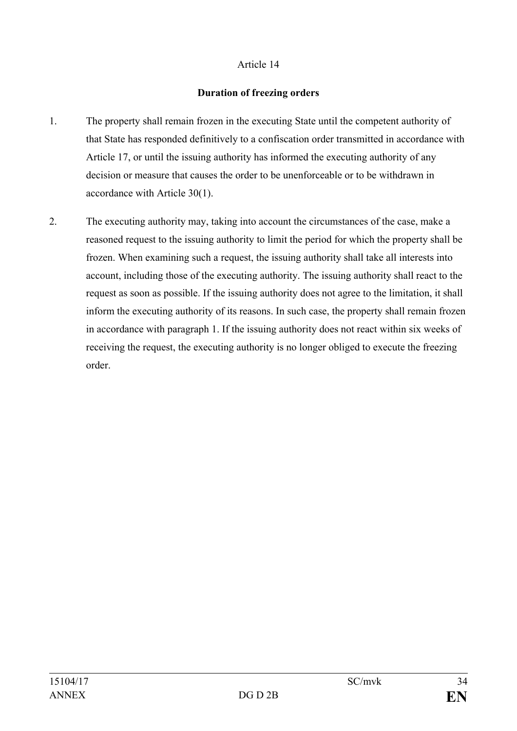### **Duration of freezing orders**

- 1. The property shall remain frozen in the executing State until the competent authority of that State has responded definitively to a confiscation order transmitted in accordance with Article 17, or until the issuing authority has informed the executing authority of any decision or measure that causes the order to be unenforceable or to be withdrawn in accordance with Article 30(1).
- 2. The executing authority may, taking into account the circumstances of the case, make a reasoned request to the issuing authority to limit the period for which the property shall be frozen. When examining such a request, the issuing authority shall take all interests into account, including those of the executing authority. The issuing authority shall react to the request as soon as possible. If the issuing authority does not agree to the limitation, it shall inform the executing authority of its reasons. In such case, the property shall remain frozen in accordance with paragraph 1. If the issuing authority does not react within six weeks of receiving the request, the executing authority is no longer obliged to execute the freezing order.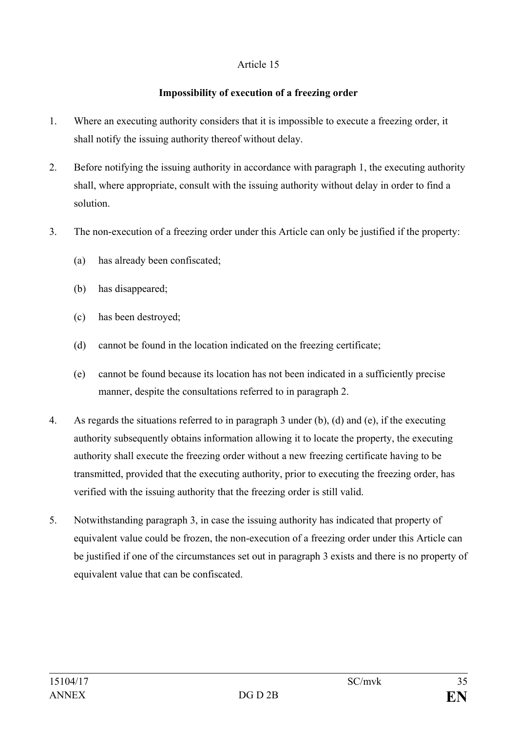## **Impossibility of execution of a freezing order**

- 1. Where an executing authority considers that it is impossible to execute a freezing order, it shall notify the issuing authority thereof without delay.
- 2. Before notifying the issuing authority in accordance with paragraph 1, the executing authority shall, where appropriate, consult with the issuing authority without delay in order to find a solution.
- 3. The non-execution of a freezing order under this Article can only be justified if the property:
	- (a) has already been confiscated;
	- (b) has disappeared;
	- (c) has been destroyed;
	- (d) cannot be found in the location indicated on the freezing certificate;
	- (e) cannot be found because its location has not been indicated in a sufficiently precise manner, despite the consultations referred to in paragraph 2.
- 4. As regards the situations referred to in paragraph 3 under (b), (d) and (e), if the executing authority subsequently obtains information allowing it to locate the property, the executing authority shall execute the freezing order without a new freezing certificate having to be transmitted, provided that the executing authority, prior to executing the freezing order, has verified with the issuing authority that the freezing order is still valid.
- 5. Notwithstanding paragraph 3, in case the issuing authority has indicated that property of equivalent value could be frozen, the non-execution of a freezing order under this Article can be justified if one of the circumstances set out in paragraph 3 exists and there is no property of equivalent value that can be confiscated.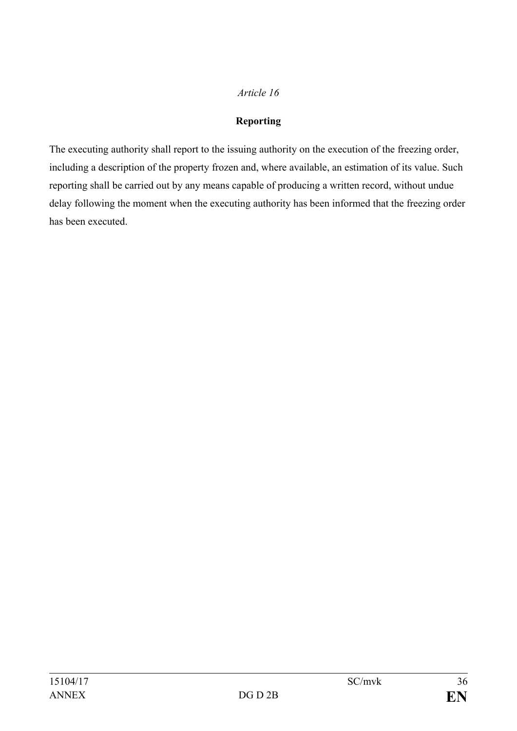# **Reporting**

The executing authority shall report to the issuing authority on the execution of the freezing order, including a description of the property frozen and, where available, an estimation of its value. Such reporting shall be carried out by any means capable of producing a written record, without undue delay following the moment when the executing authority has been informed that the freezing order has been executed.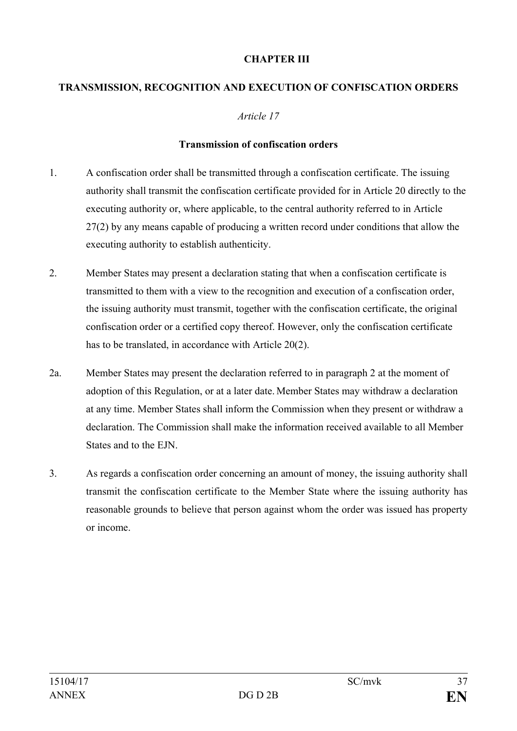## **CHAPTER III**

# **TRANSMISSION, RECOGNITION AND EXECUTION OF CONFISCATION ORDERS**

#### *Article 17*

#### **Transmission of confiscation orders**

- 1. A confiscation order shall be transmitted through a confiscation certificate. The issuing authority shall transmit the confiscation certificate provided for in Article 20 directly to the executing authority or, where applicable, to the central authority referred to in Article 27(2) by any means capable of producing a written record under conditions that allow the executing authority to establish authenticity.
- 2. Member States may present a declaration stating that when a confiscation certificate is transmitted to them with a view to the recognition and execution of a confiscation order, the issuing authority must transmit, together with the confiscation certificate, the original confiscation order or a certified copy thereof. However, only the confiscation certificate has to be translated, in accordance with Article 20(2).
- 2a. Member States may present the declaration referred to in paragraph 2 at the moment of adoption of this Regulation, or at a later date. Member States may withdraw a declaration at any time. Member States shall inform the Commission when they present or withdraw a declaration. The Commission shall make the information received available to all Member States and to the EJN.
- 3. As regards a confiscation order concerning an amount of money, the issuing authority shall transmit the confiscation certificate to the Member State where the issuing authority has reasonable grounds to believe that person against whom the order was issued has property or income.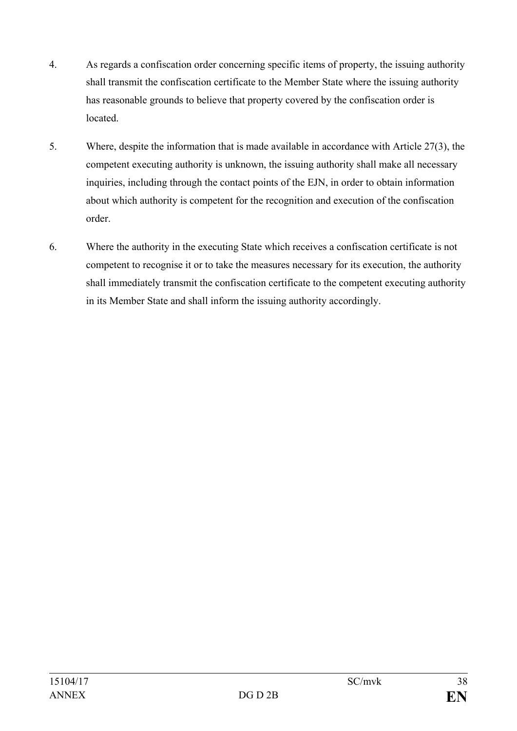- 4. As regards a confiscation order concerning specific items of property, the issuing authority shall transmit the confiscation certificate to the Member State where the issuing authority has reasonable grounds to believe that property covered by the confiscation order is located.
- 5. Where, despite the information that is made available in accordance with Article 27(3), the competent executing authority is unknown, the issuing authority shall make all necessary inquiries, including through the contact points of the EJN, in order to obtain information about which authority is competent for the recognition and execution of the confiscation order.
- 6. Where the authority in the executing State which receives a confiscation certificate is not competent to recognise it or to take the measures necessary for its execution, the authority shall immediately transmit the confiscation certificate to the competent executing authority in its Member State and shall inform the issuing authority accordingly.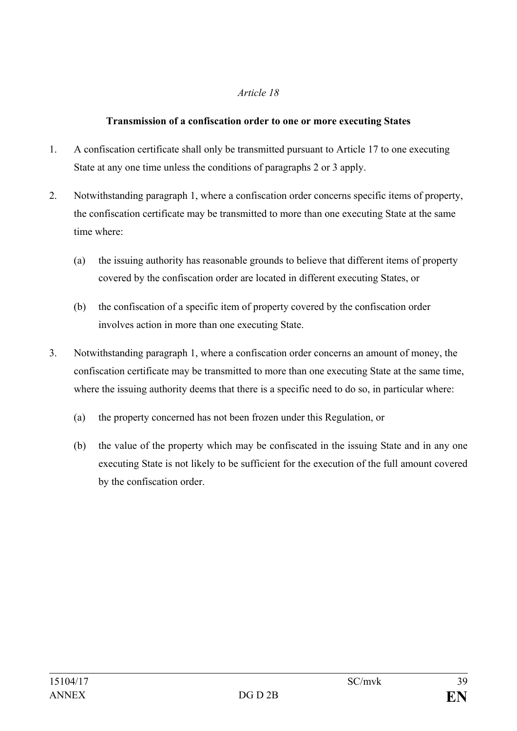## **Transmission of a confiscation order to one or more executing States**

- 1. A confiscation certificate shall only be transmitted pursuant to Article 17 to one executing State at any one time unless the conditions of paragraphs 2 or 3 apply.
- 2. Notwithstanding paragraph 1, where a confiscation order concerns specific items of property, the confiscation certificate may be transmitted to more than one executing State at the same time where:
	- (a) the issuing authority has reasonable grounds to believe that different items of property covered by the confiscation order are located in different executing States, or
	- (b) the confiscation of a specific item of property covered by the confiscation order involves action in more than one executing State.
- 3. Notwithstanding paragraph 1, where a confiscation order concerns an amount of money, the confiscation certificate may be transmitted to more than one executing State at the same time, where the issuing authority deems that there is a specific need to do so, in particular where:
	- (a) the property concerned has not been frozen under this Regulation, or
	- (b) the value of the property which may be confiscated in the issuing State and in any one executing State is not likely to be sufficient for the execution of the full amount covered by the confiscation order.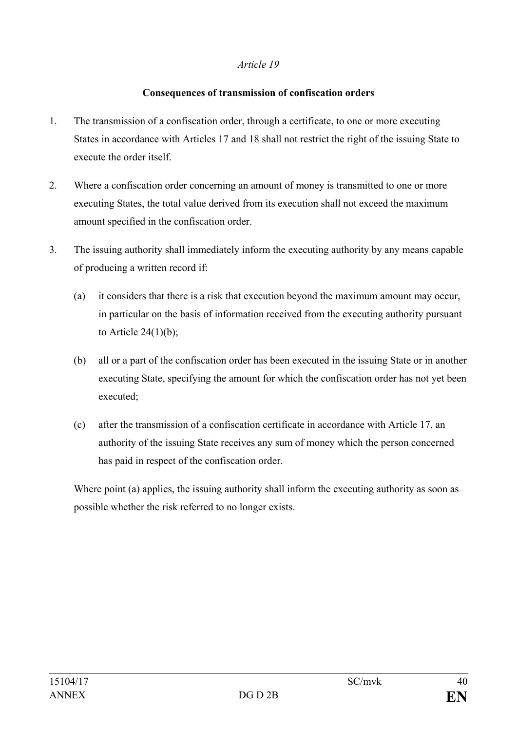#### **Consequences of transmission of confiscation orders**

- 1. The transmission of a confiscation order, through a certificate, to one or more executing States in accordance with Articles 17 and 18 shall not restrict the right of the issuing State to execute the order itself.
- 2. Where a confiscation order concerning an amount of money is transmitted to one or more executing States, the total value derived from its execution shall not exceed the maximum amount specified in the confiscation order.
- 3. The issuing authority shall immediately inform the executing authority by any means capable of producing a written record if:
	- (a) it considers that there is a risk that execution beyond the maximum amount may occur, in particular on the basis of information received from the executing authority pursuant to Article  $24(1)(b)$ ;
	- (b) all or a part of the confiscation order has been executed in the issuing State or in another executing State, specifying the amount for which the confiscation order has not yet been executed<sup>-</sup>
	- (c) after the transmission of a confiscation certificate in accordance with Article 17, an authority of the issuing State receives any sum of money which the person concerned has paid in respect of the confiscation order.

Where point (a) applies, the issuing authority shall inform the executing authority as soon as possible whether the risk referred to no longer exists.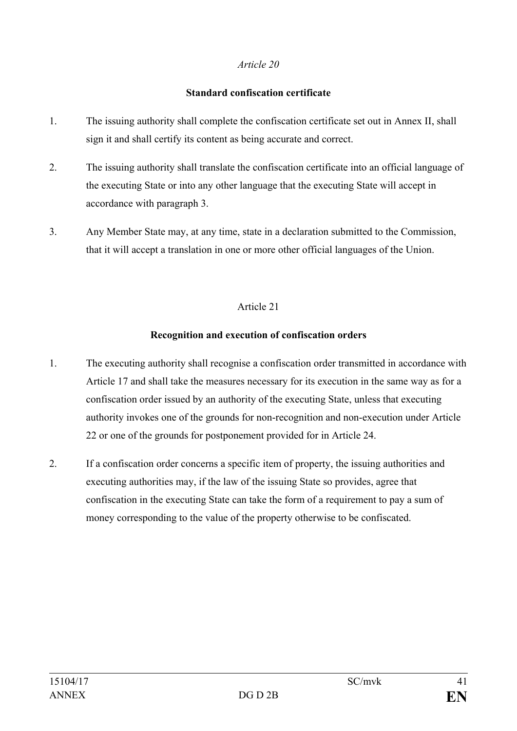#### **Standard confiscation certificate**

- 1. The issuing authority shall complete the confiscation certificate set out in Annex II, shall sign it and shall certify its content as being accurate and correct.
- 2. The issuing authority shall translate the confiscation certificate into an official language of the executing State or into any other language that the executing State will accept in accordance with paragraph 3.
- 3. Any Member State may, at any time, state in a declaration submitted to the Commission, that it will accept a translation in one or more other official languages of the Union.

## Article 21

## **Recognition and execution of confiscation orders**

- 1. The executing authority shall recognise a confiscation order transmitted in accordance with Article 17 and shall take the measures necessary for its execution in the same way as for a confiscation order issued by an authority of the executing State, unless that executing authority invokes one of the grounds for non-recognition and non-execution under Article 22 or one of the grounds for postponement provided for in Article 24.
- 2. If a confiscation order concerns a specific item of property, the issuing authorities and executing authorities may, if the law of the issuing State so provides, agree that confiscation in the executing State can take the form of a requirement to pay a sum of money corresponding to the value of the property otherwise to be confiscated.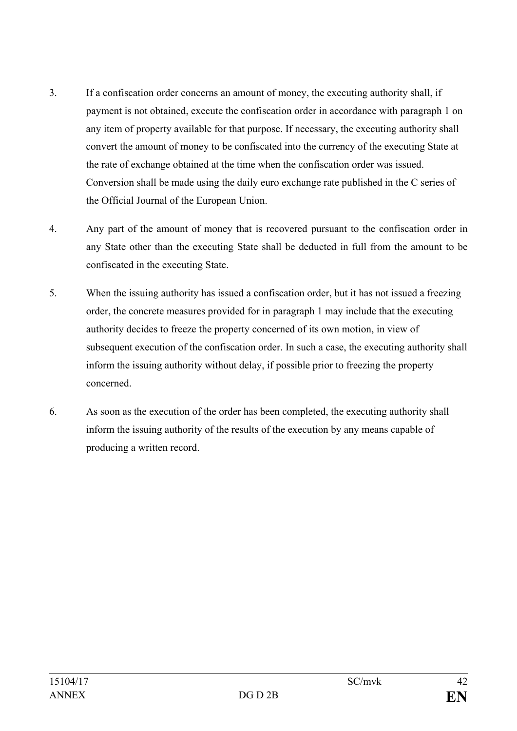- 3. If a confiscation order concerns an amount of money, the executing authority shall, if payment is not obtained, execute the confiscation order in accordance with paragraph 1 on any item of property available for that purpose. If necessary, the executing authority shall convert the amount of money to be confiscated into the currency of the executing State at the rate of exchange obtained at the time when the confiscation order was issued. Conversion shall be made using the daily euro exchange rate published in the C series of the Official Journal of the European Union.
- 4. Any part of the amount of money that is recovered pursuant to the confiscation order in any State other than the executing State shall be deducted in full from the amount to be confiscated in the executing State.
- 5. When the issuing authority has issued a confiscation order, but it has not issued a freezing order, the concrete measures provided for in paragraph 1 may include that the executing authority decides to freeze the property concerned of its own motion, in view of subsequent execution of the confiscation order. In such a case, the executing authority shall inform the issuing authority without delay, if possible prior to freezing the property concerned.
- 6. As soon as the execution of the order has been completed, the executing authority shall inform the issuing authority of the results of the execution by any means capable of producing a written record.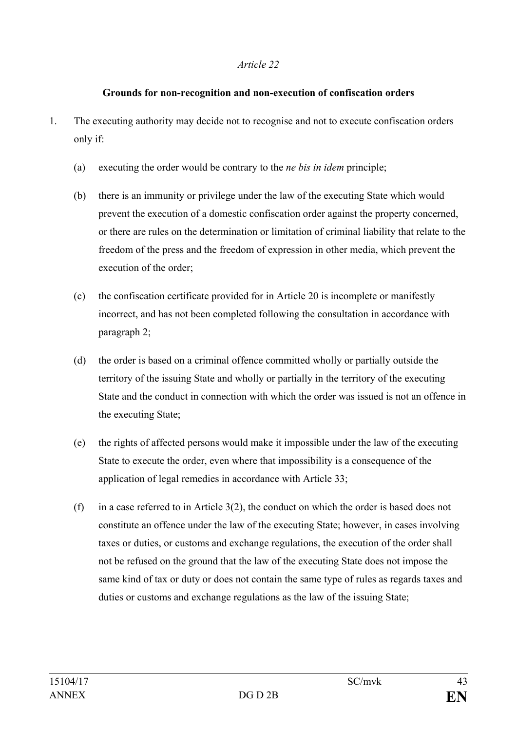#### **Grounds for non-recognition and non-execution of confiscation orders**

- 1. The executing authority may decide not to recognise and not to execute confiscation orders only if:
	- (a) executing the order would be contrary to the *ne bis in idem* principle;
	- (b) there is an immunity or privilege under the law of the executing State which would prevent the execution of a domestic confiscation order against the property concerned, or there are rules on the determination or limitation of criminal liability that relate to the freedom of the press and the freedom of expression in other media, which prevent the execution of the order;
	- (c) the confiscation certificate provided for in Article 20 is incomplete or manifestly incorrect, and has not been completed following the consultation in accordance with paragraph 2;
	- (d) the order is based on a criminal offence committed wholly or partially outside the territory of the issuing State and wholly or partially in the territory of the executing State and the conduct in connection with which the order was issued is not an offence in the executing State;
	- (e) the rights of affected persons would make it impossible under the law of the executing State to execute the order, even where that impossibility is a consequence of the application of legal remedies in accordance with Article 33;
	- (f) in a case referred to in Article 3(2), the conduct on which the order is based does not constitute an offence under the law of the executing State; however, in cases involving taxes or duties, or customs and exchange regulations, the execution of the order shall not be refused on the ground that the law of the executing State does not impose the same kind of tax or duty or does not contain the same type of rules as regards taxes and duties or customs and exchange regulations as the law of the issuing State;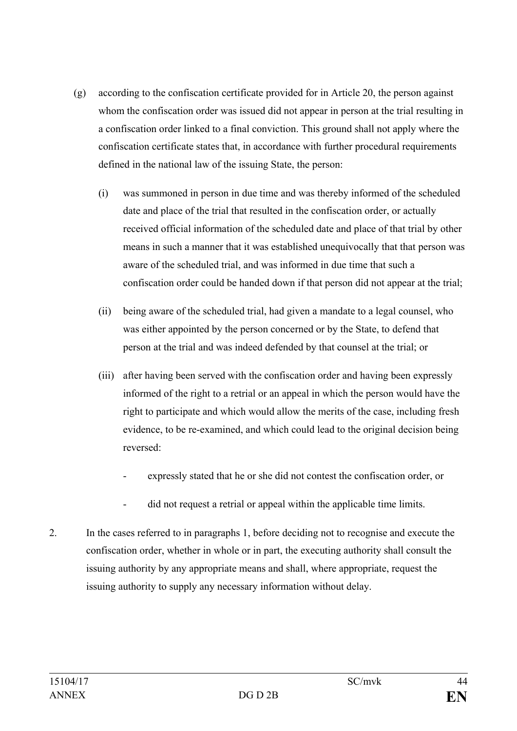- (g) according to the confiscation certificate provided for in Article 20, the person against whom the confiscation order was issued did not appear in person at the trial resulting in a confiscation order linked to a final conviction. This ground shall not apply where the confiscation certificate states that, in accordance with further procedural requirements defined in the national law of the issuing State, the person:
	- (i) was summoned in person in due time and was thereby informed of the scheduled date and place of the trial that resulted in the confiscation order, or actually received official information of the scheduled date and place of that trial by other means in such a manner that it was established unequivocally that that person was aware of the scheduled trial, and was informed in due time that such a confiscation order could be handed down if that person did not appear at the trial;
	- (ii) being aware of the scheduled trial, had given a mandate to a legal counsel, who was either appointed by the person concerned or by the State, to defend that person at the trial and was indeed defended by that counsel at the trial; or
	- (iii) after having been served with the confiscation order and having been expressly informed of the right to a retrial or an appeal in which the person would have the right to participate and which would allow the merits of the case, including fresh evidence, to be re-examined, and which could lead to the original decision being reversed:
		- expressly stated that he or she did not contest the confiscation order, or
		- did not request a retrial or appeal within the applicable time limits.
- 2. In the cases referred to in paragraphs 1, before deciding not to recognise and execute the confiscation order, whether in whole or in part, the executing authority shall consult the issuing authority by any appropriate means and shall, where appropriate, request the issuing authority to supply any necessary information without delay.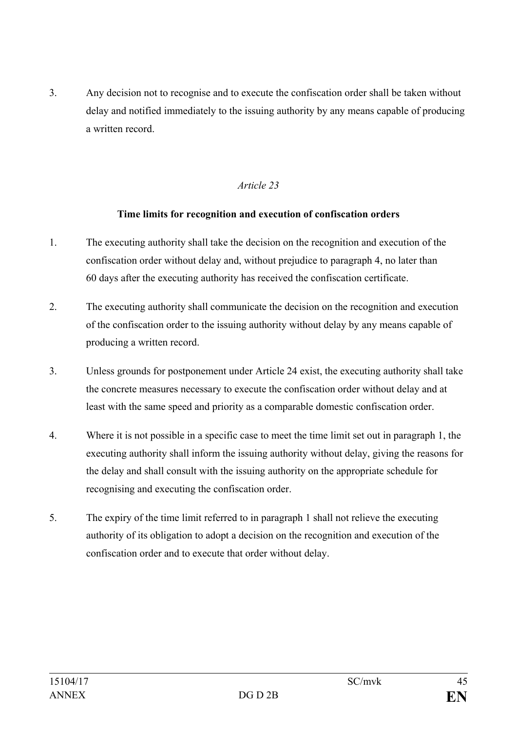3. Any decision not to recognise and to execute the confiscation order shall be taken without delay and notified immediately to the issuing authority by any means capable of producing a written record.

## *Article 23*

#### **Time limits for recognition and execution of confiscation orders**

- 1. The executing authority shall take the decision on the recognition and execution of the confiscation order without delay and, without prejudice to paragraph 4, no later than 60 days after the executing authority has received the confiscation certificate.
- 2. The executing authority shall communicate the decision on the recognition and execution of the confiscation order to the issuing authority without delay by any means capable of producing a written record.
- 3. Unless grounds for postponement under Article 24 exist, the executing authority shall take the concrete measures necessary to execute the confiscation order without delay and at least with the same speed and priority as a comparable domestic confiscation order.
- 4. Where it is not possible in a specific case to meet the time limit set out in paragraph 1, the executing authority shall inform the issuing authority without delay, giving the reasons for the delay and shall consult with the issuing authority on the appropriate schedule for recognising and executing the confiscation order.
- 5. The expiry of the time limit referred to in paragraph 1 shall not relieve the executing authority of its obligation to adopt a decision on the recognition and execution of the confiscation order and to execute that order without delay.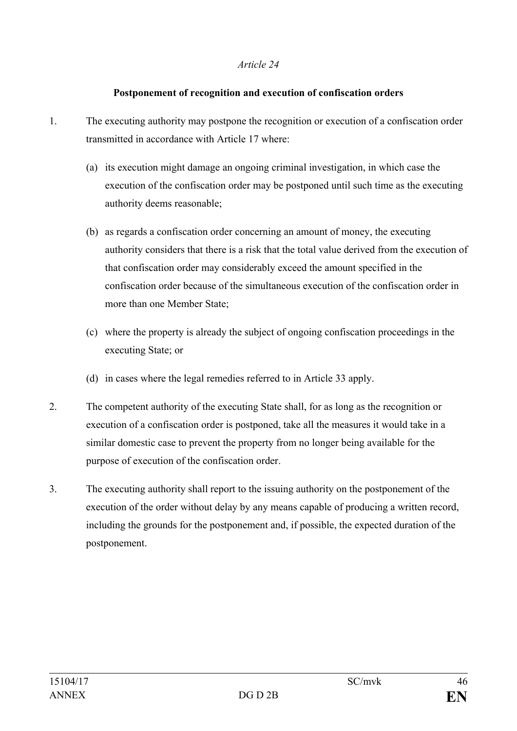#### **Postponement of recognition and execution of confiscation orders**

- 1. The executing authority may postpone the recognition or execution of a confiscation order transmitted in accordance with Article 17 where:
	- (a) its execution might damage an ongoing criminal investigation, in which case the execution of the confiscation order may be postponed until such time as the executing authority deems reasonable;
	- (b) as regards a confiscation order concerning an amount of money, the executing authority considers that there is a risk that the total value derived from the execution of that confiscation order may considerably exceed the amount specified in the confiscation order because of the simultaneous execution of the confiscation order in more than one Member State;
	- (c) where the property is already the subject of ongoing confiscation proceedings in the executing State; or
	- (d) in cases where the legal remedies referred to in Article 33 apply.
- 2. The competent authority of the executing State shall, for as long as the recognition or execution of a confiscation order is postponed, take all the measures it would take in a similar domestic case to prevent the property from no longer being available for the purpose of execution of the confiscation order.
- 3. The executing authority shall report to the issuing authority on the postponement of the execution of the order without delay by any means capable of producing a written record, including the grounds for the postponement and, if possible, the expected duration of the postponement.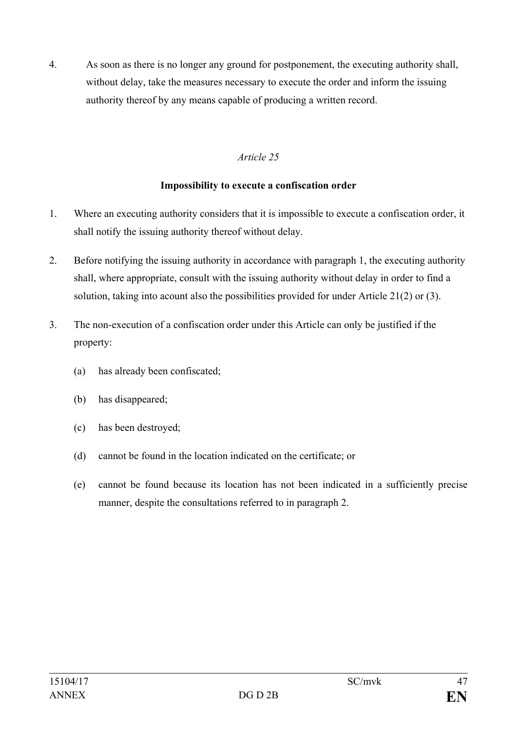4. As soon as there is no longer any ground for postponement, the executing authority shall, without delay, take the measures necessary to execute the order and inform the issuing authority thereof by any means capable of producing a written record.

# *Article 25*

## **Impossibility to execute a confiscation order**

- 1. Where an executing authority considers that it is impossible to execute a confiscation order, it shall notify the issuing authority thereof without delay.
- 2. Before notifying the issuing authority in accordance with paragraph 1, the executing authority shall, where appropriate, consult with the issuing authority without delay in order to find a solution, taking into acount also the possibilities provided for under Article 21(2) or (3).
- 3. The non-execution of a confiscation order under this Article can only be justified if the property:
	- (a) has already been confiscated;
	- (b) has disappeared;
	- (c) has been destroyed;
	- (d) cannot be found in the location indicated on the certificate; or
	- (e) cannot be found because its location has not been indicated in a sufficiently precise manner, despite the consultations referred to in paragraph 2.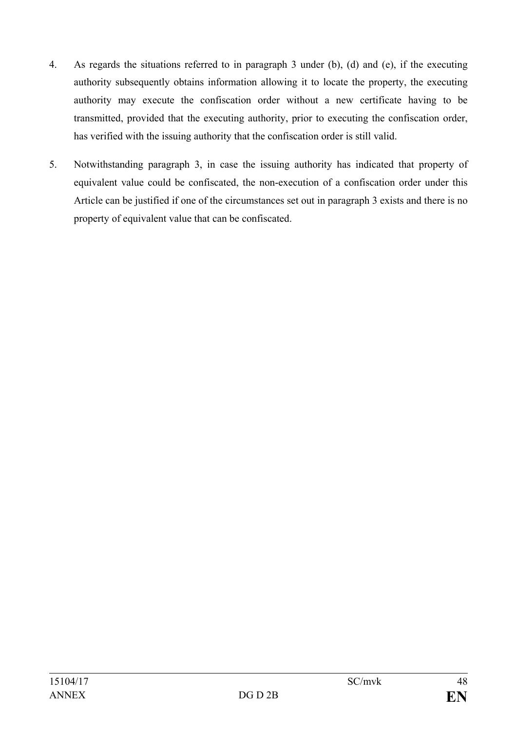- 4. As regards the situations referred to in paragraph 3 under (b), (d) and (e), if the executing authority subsequently obtains information allowing it to locate the property, the executing authority may execute the confiscation order without a new certificate having to be transmitted, provided that the executing authority, prior to executing the confiscation order, has verified with the issuing authority that the confiscation order is still valid.
- 5. Notwithstanding paragraph 3, in case the issuing authority has indicated that property of equivalent value could be confiscated, the non-execution of a confiscation order under this Article can be justified if one of the circumstances set out in paragraph 3 exists and there is no property of equivalent value that can be confiscated.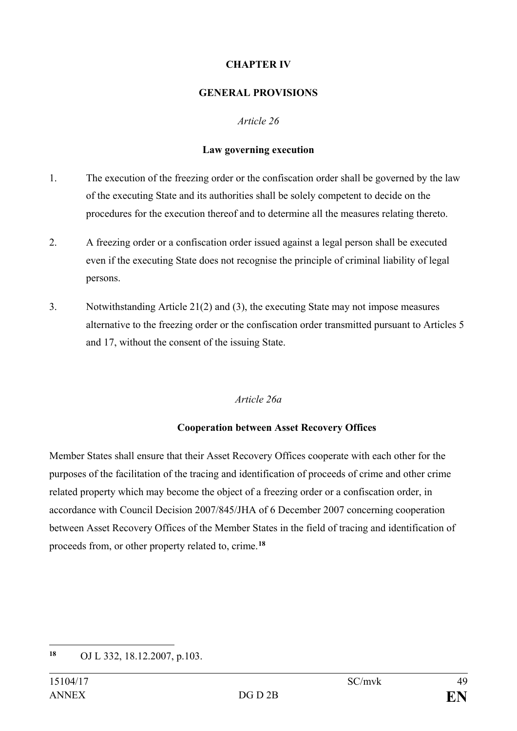## **CHAPTER IV**

## **GENERAL PROVISIONS**

# *Article 26*

# **Law governing execution**

- 1. The execution of the freezing order or the confiscation order shall be governed by the law of the executing State and its authorities shall be solely competent to decide on the procedures for the execution thereof and to determine all the measures relating thereto.
- 2. A freezing order or a confiscation order issued against a legal person shall be executed even if the executing State does not recognise the principle of criminal liability of legal persons.
- 3. Notwithstanding Article 21(2) and (3), the executing State may not impose measures alternative to the freezing order or the confiscation order transmitted pursuant to Articles 5 and 17, without the consent of the issuing State.

# *Article 26a*

# **Cooperation between Asset Recovery Offices**

Member States shall ensure that their Asset Recovery Offices cooperate with each other for the purposes of the facilitation of the tracing and identification of proceeds of crime and other crime related property which may become the object of a freezing order or a confiscation order, in accordance with Council Decision 2007/845/JHA of 6 December 2007 concerning cooperation between Asset Recovery Offices of the Member States in the field of tracing and identification of proceeds from, or other property related to, crime.**[18](#page-48-0)**

<span id="page-48-0"></span><sup>18</sup> **<sup>18</sup>** OJ L 332, 18.12.2007, p.103.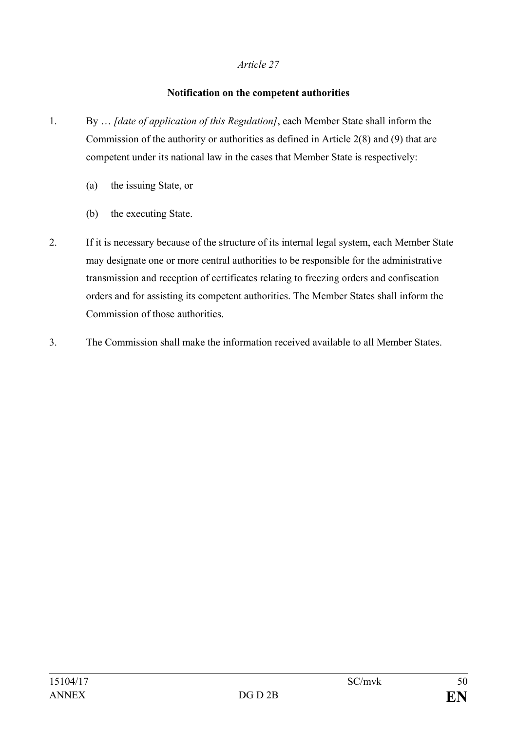## **Notification on the competent authorities**

- 1. By … *[date of application of this Regulation]*, each Member State shall inform the Commission of the authority or authorities as defined in Article 2(8) and (9) that are competent under its national law in the cases that Member State is respectively:
	- (a) the issuing State, or
	- (b) the executing State.
- 2. If it is necessary because of the structure of its internal legal system, each Member State may designate one or more central authorities to be responsible for the administrative transmission and reception of certificates relating to freezing orders and confiscation orders and for assisting its competent authorities. The Member States shall inform the Commission of those authorities.
- 3. The Commission shall make the information received available to all Member States.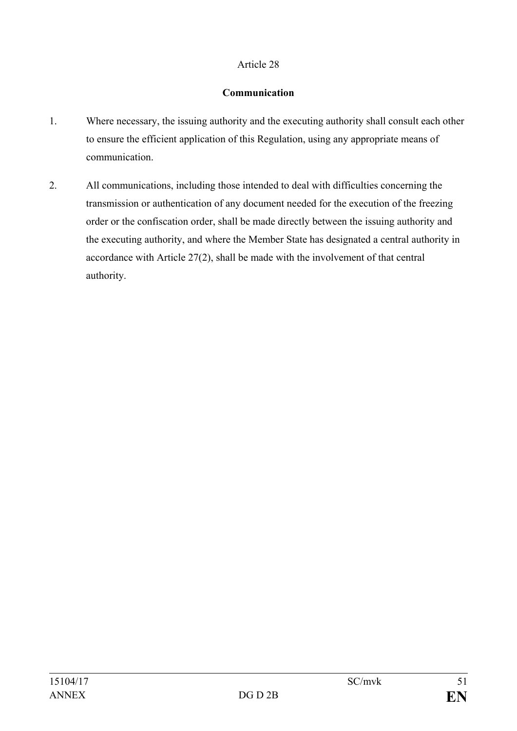## **Communication**

- 1. Where necessary, the issuing authority and the executing authority shall consult each other to ensure the efficient application of this Regulation, using any appropriate means of communication.
- 2. All communications, including those intended to deal with difficulties concerning the transmission or authentication of any document needed for the execution of the freezing order or the confiscation order, shall be made directly between the issuing authority and the executing authority, and where the Member State has designated a central authority in accordance with Article 27(2), shall be made with the involvement of that central authority.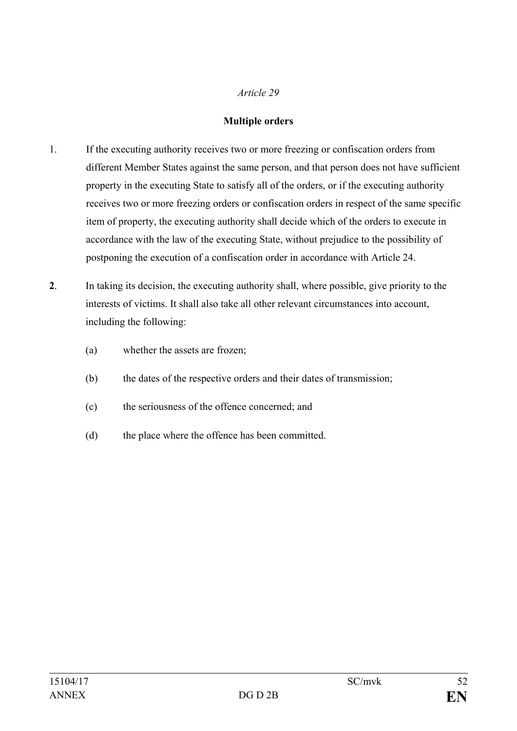### **Multiple orders**

- 1. If the executing authority receives two or more freezing or confiscation orders from different Member States against the same person, and that person does not have sufficient property in the executing State to satisfy all of the orders, or if the executing authority receives two or more freezing orders or confiscation orders in respect of the same specific item of property, the executing authority shall decide which of the orders to execute in accordance with the law of the executing State, without prejudice to the possibility of postponing the execution of a confiscation order in accordance with Article 24.
- **2**. In taking its decision, the executing authority shall, where possible, give priority to the interests of victims. It shall also take all other relevant circumstances into account, including the following:
	- (a) whether the assets are frozen;
	- (b) the dates of the respective orders and their dates of transmission;
	- (c) the seriousness of the offence concerned; and
	- (d) the place where the offence has been committed.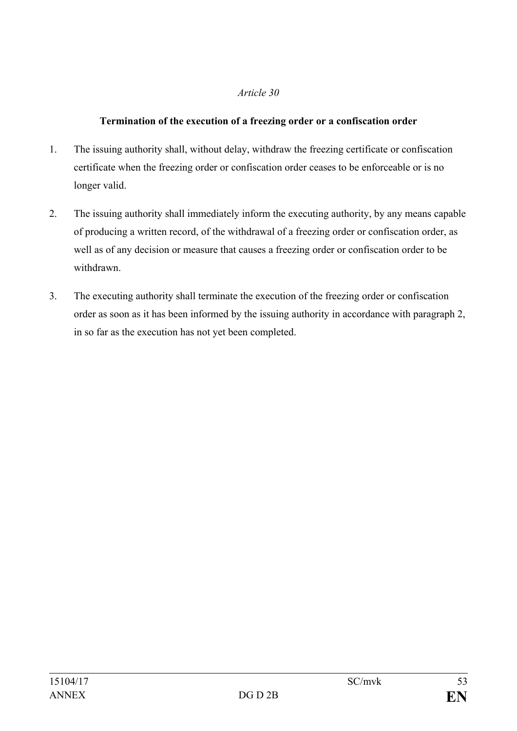## **Termination of the execution of a freezing order or a confiscation order**

- 1. The issuing authority shall, without delay, withdraw the freezing certificate or confiscation certificate when the freezing order or confiscation order ceases to be enforceable or is no longer valid.
- 2. The issuing authority shall immediately inform the executing authority, by any means capable of producing a written record, of the withdrawal of a freezing order or confiscation order, as well as of any decision or measure that causes a freezing order or confiscation order to be withdrawn.
- 3. The executing authority shall terminate the execution of the freezing order or confiscation order as soon as it has been informed by the issuing authority in accordance with paragraph 2, in so far as the execution has not yet been completed.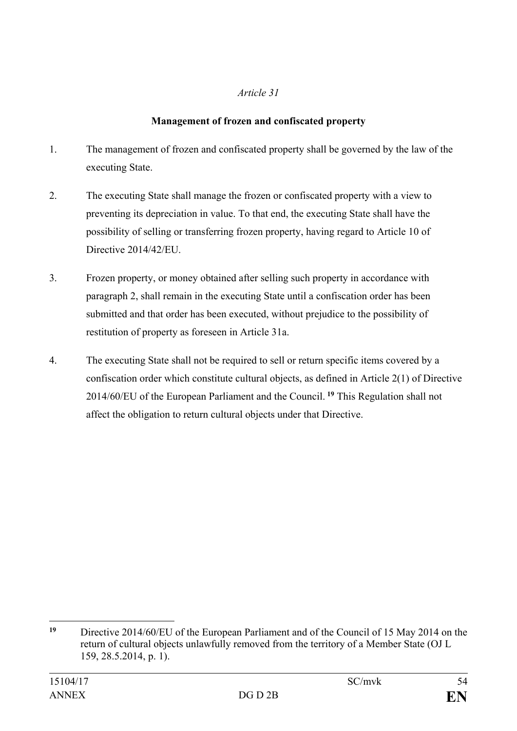# **Management of frozen and confiscated property**

- 1. The management of frozen and confiscated property shall be governed by the law of the executing State.
- 2. The executing State shall manage the frozen or confiscated property with a view to preventing its depreciation in value. To that end, the executing State shall have the possibility of selling or transferring frozen property, having regard to Article 10 of Directive 2014/42/EU.
- 3. Frozen property, or money obtained after selling such property in accordance with paragraph 2, shall remain in the executing State until a confiscation order has been submitted and that order has been executed, without prejudice to the possibility of restitution of property as foreseen in Article 31a.
- 4. The executing State shall not be required to sell or return specific items covered by a confiscation order which constitute cultural objects, as defined in Article 2(1) of Directive 2014/60/EU of the European Parliament and the Council. **[19](#page-53-0)** This Regulation shall not affect the obligation to return cultural objects under that Directive.

<span id="page-53-0"></span><sup>19</sup> **<sup>19</sup>** Directive 2014/60/EU of the European Parliament and of the Council of 15 May 2014 on the return of cultural objects unlawfully removed from the territory of a Member State (OJ L 159, 28.5.2014, p. 1).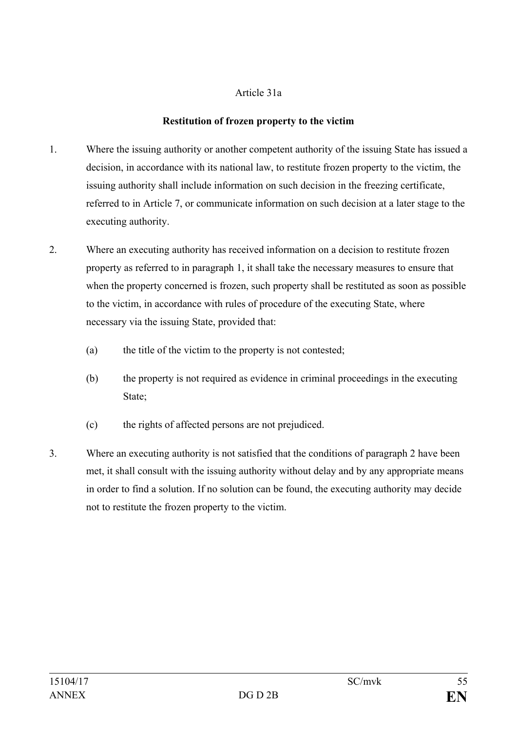### Article 31a

### **Restitution of frozen property to the victim**

- 1. Where the issuing authority or another competent authority of the issuing State has issued a decision, in accordance with its national law, to restitute frozen property to the victim, the issuing authority shall include information on such decision in the freezing certificate, referred to in Article 7, or communicate information on such decision at a later stage to the executing authority.
- 2. Where an executing authority has received information on a decision to restitute frozen property as referred to in paragraph 1, it shall take the necessary measures to ensure that when the property concerned is frozen, such property shall be restituted as soon as possible to the victim, in accordance with rules of procedure of the executing State, where necessary via the issuing State, provided that:
	- (a) the title of the victim to the property is not contested;
	- (b) the property is not required as evidence in criminal proceedings in the executing State;
	- (c) the rights of affected persons are not prejudiced.
- 3. Where an executing authority is not satisfied that the conditions of paragraph 2 have been met, it shall consult with the issuing authority without delay and by any appropriate means in order to find a solution. If no solution can be found, the executing authority may decide not to restitute the frozen property to the victim.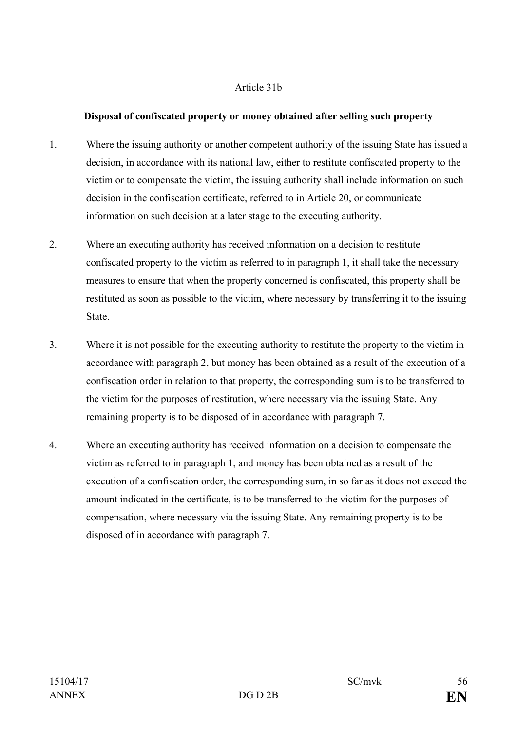### Article 31b

### **Disposal of confiscated property or money obtained after selling such property**

- 1. Where the issuing authority or another competent authority of the issuing State has issued a decision, in accordance with its national law, either to restitute confiscated property to the victim or to compensate the victim, the issuing authority shall include information on such decision in the confiscation certificate, referred to in Article 20, or communicate information on such decision at a later stage to the executing authority.
- 2. Where an executing authority has received information on a decision to restitute confiscated property to the victim as referred to in paragraph 1, it shall take the necessary measures to ensure that when the property concerned is confiscated, this property shall be restituted as soon as possible to the victim, where necessary by transferring it to the issuing **State**
- 3. Where it is not possible for the executing authority to restitute the property to the victim in accordance with paragraph 2, but money has been obtained as a result of the execution of a confiscation order in relation to that property, the corresponding sum is to be transferred to the victim for the purposes of restitution, where necessary via the issuing State. Any remaining property is to be disposed of in accordance with paragraph 7.
- 4. Where an executing authority has received information on a decision to compensate the victim as referred to in paragraph 1, and money has been obtained as a result of the execution of a confiscation order, the corresponding sum, in so far as it does not exceed the amount indicated in the certificate, is to be transferred to the victim for the purposes of compensation, where necessary via the issuing State. Any remaining property is to be disposed of in accordance with paragraph 7.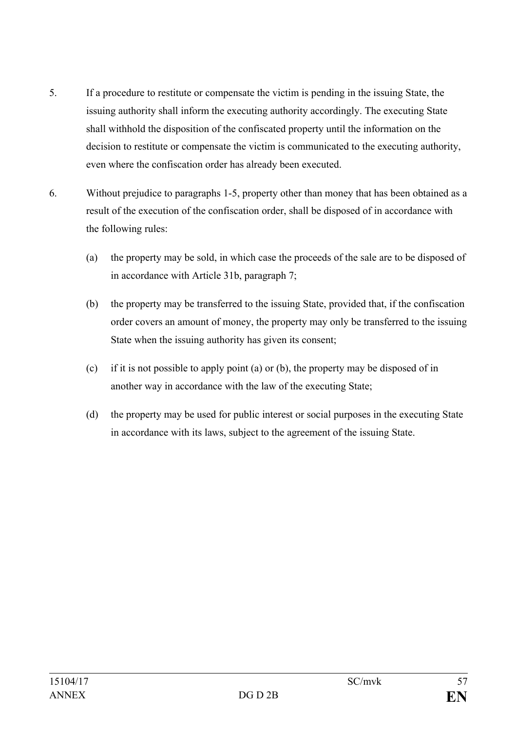- 5. If a procedure to restitute or compensate the victim is pending in the issuing State, the issuing authority shall inform the executing authority accordingly. The executing State shall withhold the disposition of the confiscated property until the information on the decision to restitute or compensate the victim is communicated to the executing authority, even where the confiscation order has already been executed.
- 6. Without prejudice to paragraphs 1-5, property other than money that has been obtained as a result of the execution of the confiscation order, shall be disposed of in accordance with the following rules:
	- (a) the property may be sold, in which case the proceeds of the sale are to be disposed of in accordance with Article 31b, paragraph 7;
	- (b) the property may be transferred to the issuing State, provided that, if the confiscation order covers an amount of money, the property may only be transferred to the issuing State when the issuing authority has given its consent;
	- (c) if it is not possible to apply point (a) or (b), the property may be disposed of in another way in accordance with the law of the executing State;
	- (d) the property may be used for public interest or social purposes in the executing State in accordance with its laws, subject to the agreement of the issuing State.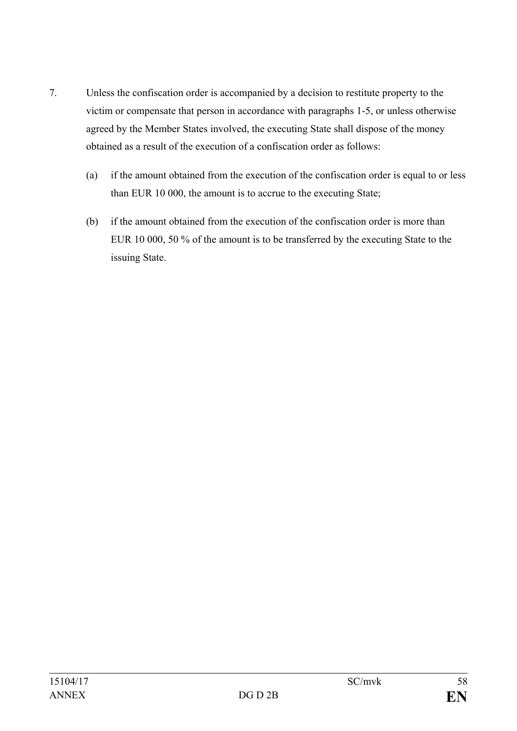- 7. Unless the confiscation order is accompanied by a decision to restitute property to the victim or compensate that person in accordance with paragraphs 1-5, or unless otherwise agreed by the Member States involved, the executing State shall dispose of the money obtained as a result of the execution of a confiscation order as follows:
	- (a) if the amount obtained from the execution of the confiscation order is equal to or less than EUR 10 000, the amount is to accrue to the executing State;
	- (b) if the amount obtained from the execution of the confiscation order is more than EUR 10 000, 50 % of the amount is to be transferred by the executing State to the issuing State.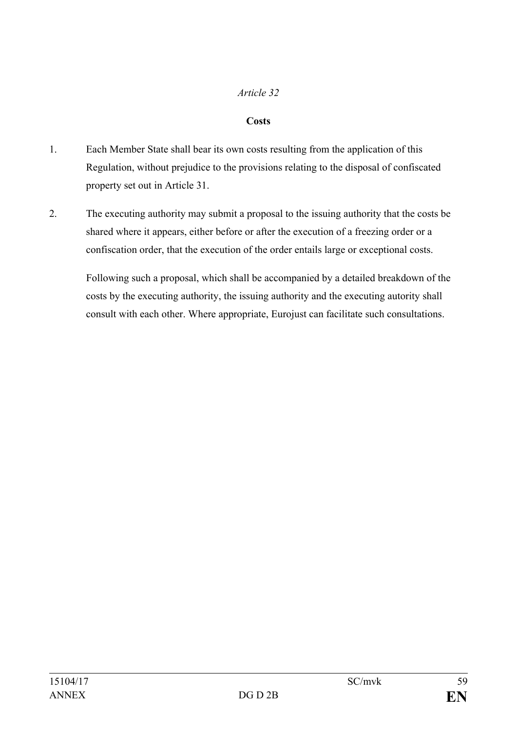## **Costs**

- 1. Each Member State shall bear its own costs resulting from the application of this Regulation, without prejudice to the provisions relating to the disposal of confiscated property set out in Article 31.
- 2. The executing authority may submit a proposal to the issuing authority that the costs be shared where it appears, either before or after the execution of a freezing order or a confiscation order, that the execution of the order entails large or exceptional costs.

Following such a proposal, which shall be accompanied by a detailed breakdown of the costs by the executing authority, the issuing authority and the executing autority shall consult with each other. Where appropriate, Eurojust can facilitate such consultations.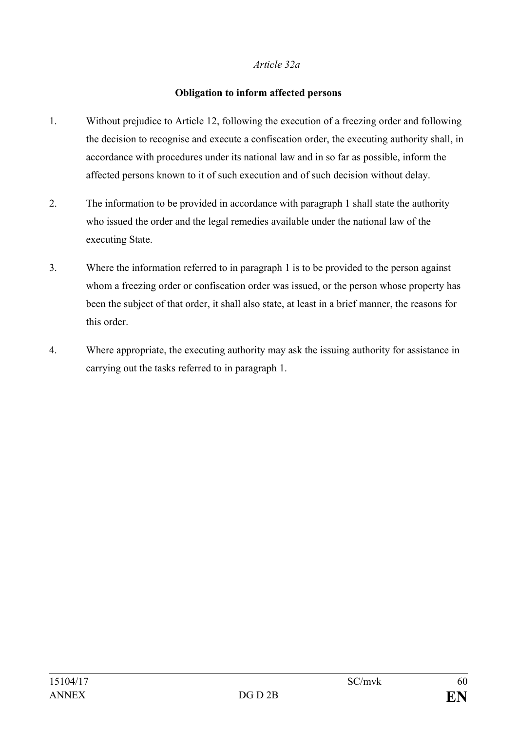## *Article 32a*

## **Obligation to inform affected persons**

- 1. Without prejudice to Article 12, following the execution of a freezing order and following the decision to recognise and execute a confiscation order, the executing authority shall, in accordance with procedures under its national law and in so far as possible, inform the affected persons known to it of such execution and of such decision without delay.
- 2. The information to be provided in accordance with paragraph 1 shall state the authority who issued the order and the legal remedies available under the national law of the executing State.
- 3. Where the information referred to in paragraph 1 is to be provided to the person against whom a freezing order or confiscation order was issued, or the person whose property has been the subject of that order, it shall also state, at least in a brief manner, the reasons for this order.
- 4. Where appropriate, the executing authority may ask the issuing authority for assistance in carrying out the tasks referred to in paragraph 1.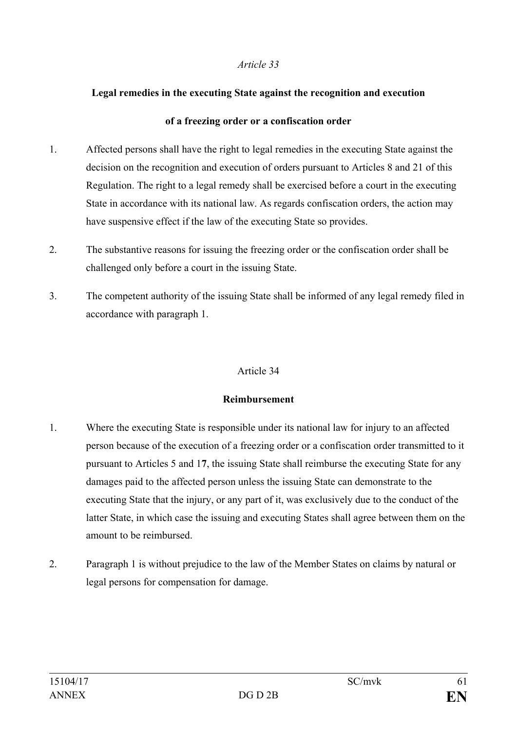#### **Legal remedies in the executing State against the recognition and execution**

#### **of a freezing order or a confiscation order**

- 1. Affected persons shall have the right to legal remedies in the executing State against the decision on the recognition and execution of orders pursuant to Articles 8 and 21 of this Regulation. The right to a legal remedy shall be exercised before a court in the executing State in accordance with its national law. As regards confiscation orders, the action may have suspensive effect if the law of the executing State so provides.
- 2. The substantive reasons for issuing the freezing order or the confiscation order shall be challenged only before a court in the issuing State.
- 3. The competent authority of the issuing State shall be informed of any legal remedy filed in accordance with paragraph 1.

## Article 34

## **Reimbursement**

- 1. Where the executing State is responsible under its national law for injury to an affected person because of the execution of a freezing order or a confiscation order transmitted to it pursuant to Articles 5 and 1**7**, the issuing State shall reimburse the executing State for any damages paid to the affected person unless the issuing State can demonstrate to the executing State that the injury, or any part of it, was exclusively due to the conduct of the latter State, in which case the issuing and executing States shall agree between them on the amount to be reimbursed.
- 2. Paragraph 1 is without prejudice to the law of the Member States on claims by natural or legal persons for compensation for damage.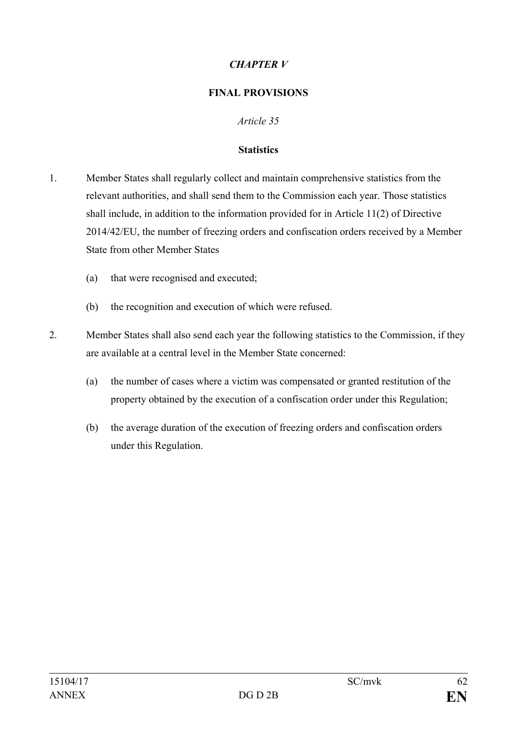# *CHAPTER V*

## **FINAL PROVISIONS**

## *Article 35*

### **Statistics**

- 1. Member States shall regularly collect and maintain comprehensive statistics from the relevant authorities, and shall send them to the Commission each year. Those statistics shall include, in addition to the information provided for in Article 11(2) of Directive 2014/42/EU, the number of freezing orders and confiscation orders received by a Member State from other Member States
	- (a) that were recognised and executed;
	- (b) the recognition and execution of which were refused.
- 2. Member States shall also send each year the following statistics to the Commission, if they are available at a central level in the Member State concerned:
	- (a) the number of cases where a victim was compensated or granted restitution of the property obtained by the execution of a confiscation order under this Regulation;
	- (b) the average duration of the execution of freezing orders and confiscation orders under this Regulation.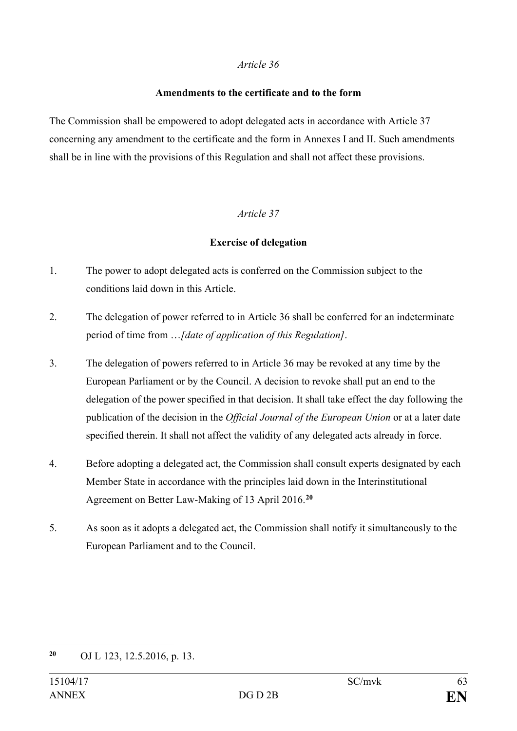#### **Amendments to the certificate and to the form**

The Commission shall be empowered to adopt delegated acts in accordance with Article 37 concerning any amendment to the certificate and the form in Annexes I and II. Such amendments shall be in line with the provisions of this Regulation and shall not affect these provisions.

## *Article 37*

## **Exercise of delegation**

- 1. The power to adopt delegated acts is conferred on the Commission subject to the conditions laid down in this Article.
- 2. The delegation of power referred to in Article 36 shall be conferred for an indeterminate period of time from …*[date of application of this Regulation]*.
- 3. The delegation of powers referred to in Article 36 may be revoked at any time by the European Parliament or by the Council. A decision to revoke shall put an end to the delegation of the power specified in that decision. It shall take effect the day following the publication of the decision in the *Official Journal of the European Union* or at a later date specified therein. It shall not affect the validity of any delegated acts already in force.
- 4. Before adopting a delegated act, the Commission shall consult experts designated by each Member State in accordance with the principles laid down in the Interinstitutional Agreement on Better Law-Making of 13 April 2016.**[20](#page-62-0)**
- 5. As soon as it adopts a delegated act, the Commission shall notify it simultaneously to the European Parliament and to the Council.

<span id="page-62-0"></span> $20$ **<sup>20</sup>** OJ L 123, 12.5.2016, p. 13.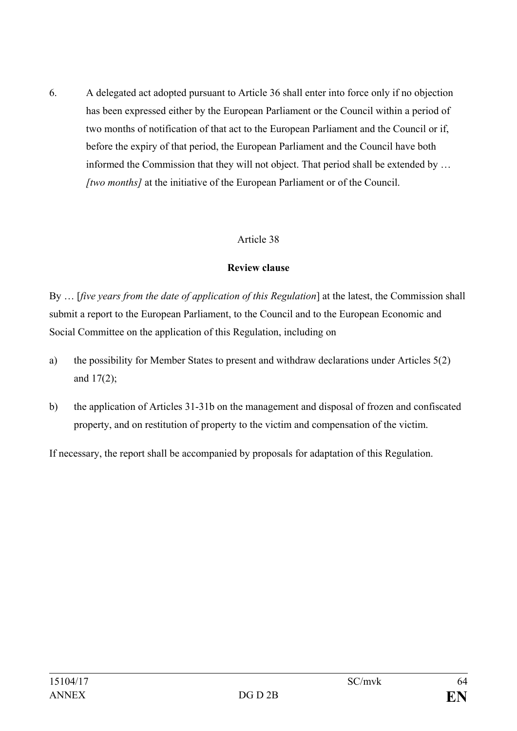6. A delegated act adopted pursuant to Article 36 shall enter into force only if no objection has been expressed either by the European Parliament or the Council within a period of two months of notification of that act to the European Parliament and the Council or if, before the expiry of that period, the European Parliament and the Council have both informed the Commission that they will not object. That period shall be extended by … *[two months]* at the initiative of the European Parliament or of the Council.

## Article 38

## **Review clause**

By … [*five years from the date of application of this Regulation*] at the latest, the Commission shall submit a report to the European Parliament, to the Council and to the European Economic and Social Committee on the application of this Regulation, including on

- a) the possibility for Member States to present and withdraw declarations under Articles 5(2) and 17(2);
- b) the application of Articles 31-31b on the management and disposal of frozen and confiscated property, and on restitution of property to the victim and compensation of the victim.

If necessary, the report shall be accompanied by proposals for adaptation of this Regulation.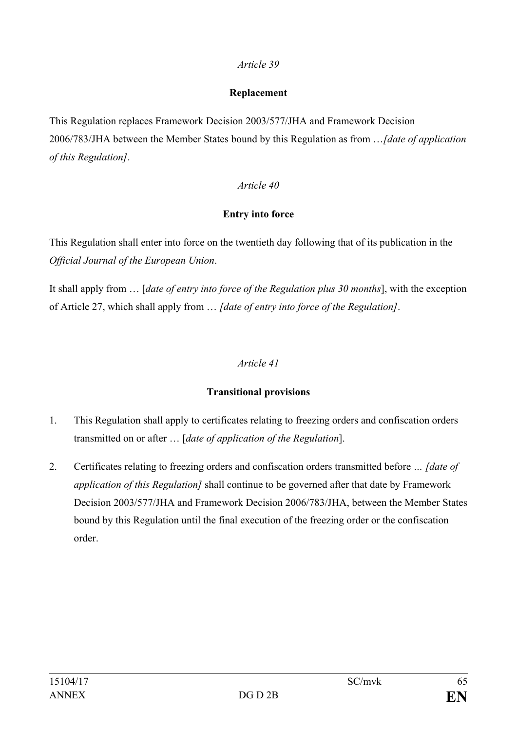#### **Replacement**

This Regulation replaces Framework Decision 2003/577/JHA and Framework Decision 2006/783/JHA between the Member States bound by this Regulation as from …*[date of application of this Regulation]*.

## *Article 40*

## **Entry into force**

This Regulation shall enter into force on the twentieth day following that of its publication in the *Official Journal of the European Union*.

It shall apply from … [*date of entry into force of the Regulation plus 30 months*], with the exception of Article 27, which shall apply from … *[date of entry into force of the Regulation]*.

# *Article 41*

# **Transitional provisions**

- 1. This Regulation shall apply to certificates relating to freezing orders and confiscation orders transmitted on or after … [*date of application of the Regulation*].
- 2. Certificates relating to freezing orders and confiscation orders transmitted before *… [date of application of this Regulation]* shall continue to be governed after that date by Framework Decision 2003/577/JHA and Framework Decision 2006/783/JHA, between the Member States bound by this Regulation until the final execution of the freezing order or the confiscation order.